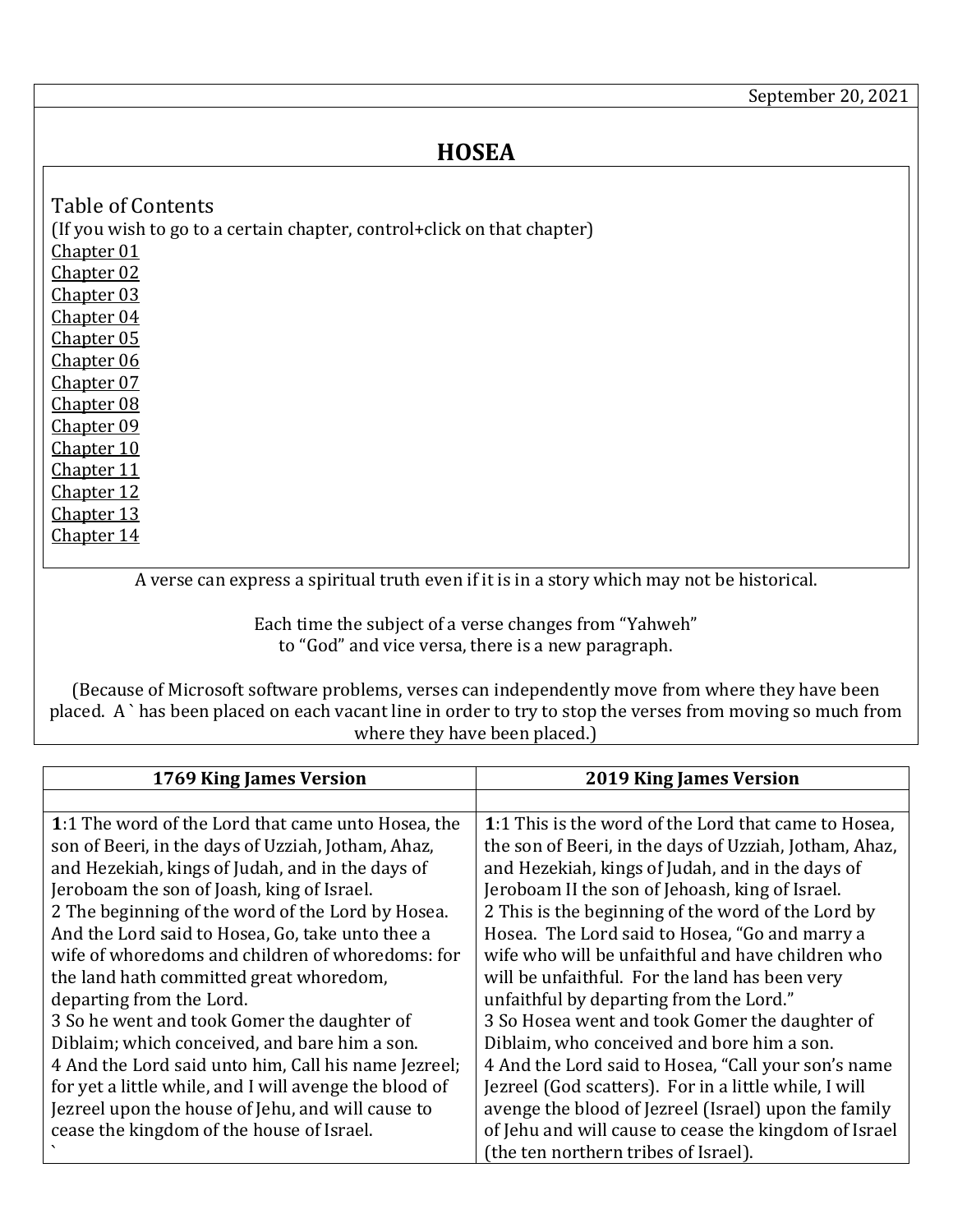## **HOSEA**

<span id="page-0-7"></span><span id="page-0-6"></span><span id="page-0-5"></span><span id="page-0-4"></span><span id="page-0-3"></span><span id="page-0-2"></span><span id="page-0-1"></span>Table of Contents (If you wish to go to a certain chapter, control+click on that chapter) [Chapter 01](#page-0-0) [Chapter 02](#page-1-0) [Chapter 03](#page-3-0) [Chapter 04](#page-3-1) [Chapter 05](#page-5-0) [Chapter 06](#page-6-0) [Chapter 07](#page-7-0) [Chapter 08](#page-8-0) [Chapter 09](#page-9-0) [Chapter 10](#page-10-0) [Chapter 11](#page-11-0) [Chapter 12](#page-12-0) [Chapter 13](#page-13-0) [Chapter 14](#page-14-0)

<span id="page-0-14"></span><span id="page-0-13"></span><span id="page-0-12"></span><span id="page-0-11"></span><span id="page-0-10"></span><span id="page-0-9"></span><span id="page-0-8"></span>A verse can express a spiritual truth even if it is in a story which may not be historical.

Each time the subject of a verse changes from "Yahweh" to "God" and vice versa, there is a new paragraph.

(Because of Microsoft software problems, verses can independently move from where they have been placed. A ` has been placed on each vacant line in order to try to stop the verses from moving so much from where they have been placed.)

<span id="page-0-0"></span>

| 1769 King James Version                                | <b>2019 King James Version</b>                         |
|--------------------------------------------------------|--------------------------------------------------------|
|                                                        |                                                        |
| 1:1 The word of the Lord that came unto Hosea, the     | 1:1 This is the word of the Lord that came to Hosea.   |
| son of Beeri, in the days of Uzziah, Jotham, Ahaz,     | the son of Beeri, in the days of Uzziah, Jotham, Ahaz, |
| and Hezekiah, kings of Judah, and in the days of       | and Hezekiah, kings of Judah, and in the days of       |
| Jeroboam the son of Joash, king of Israel.             | Jeroboam II the son of Jehoash, king of Israel.        |
| 2 The beginning of the word of the Lord by Hosea.      | 2 This is the beginning of the word of the Lord by     |
| And the Lord said to Hosea, Go, take unto thee a       | Hosea. The Lord said to Hosea, "Go and marry a         |
| wife of whoredoms and children of whoredoms: for       | wife who will be unfaithful and have children who      |
| the land hath committed great whoredom,                | will be unfaithful. For the land has been very         |
| departing from the Lord.                               | unfaithful by departing from the Lord."                |
| 3 So he went and took Gomer the daughter of            | 3 So Hosea went and took Gomer the daughter of         |
| Diblaim; which conceived, and bare him a son.          | Diblaim, who conceived and bore him a son.             |
| 4 And the Lord said unto him, Call his name Jezreel;   | 4 And the Lord said to Hosea, "Call your son's name    |
| for yet a little while, and I will avenge the blood of | Jezreel (God scatters). For in a little while, I will  |
| Jezreel upon the house of Jehu, and will cause to      | avenge the blood of Jezreel (Israel) upon the family   |
| cease the kingdom of the house of Israel.              | of Jehu and will cause to cease the kingdom of Israel  |
|                                                        | (the ten northern tribes of Israel).                   |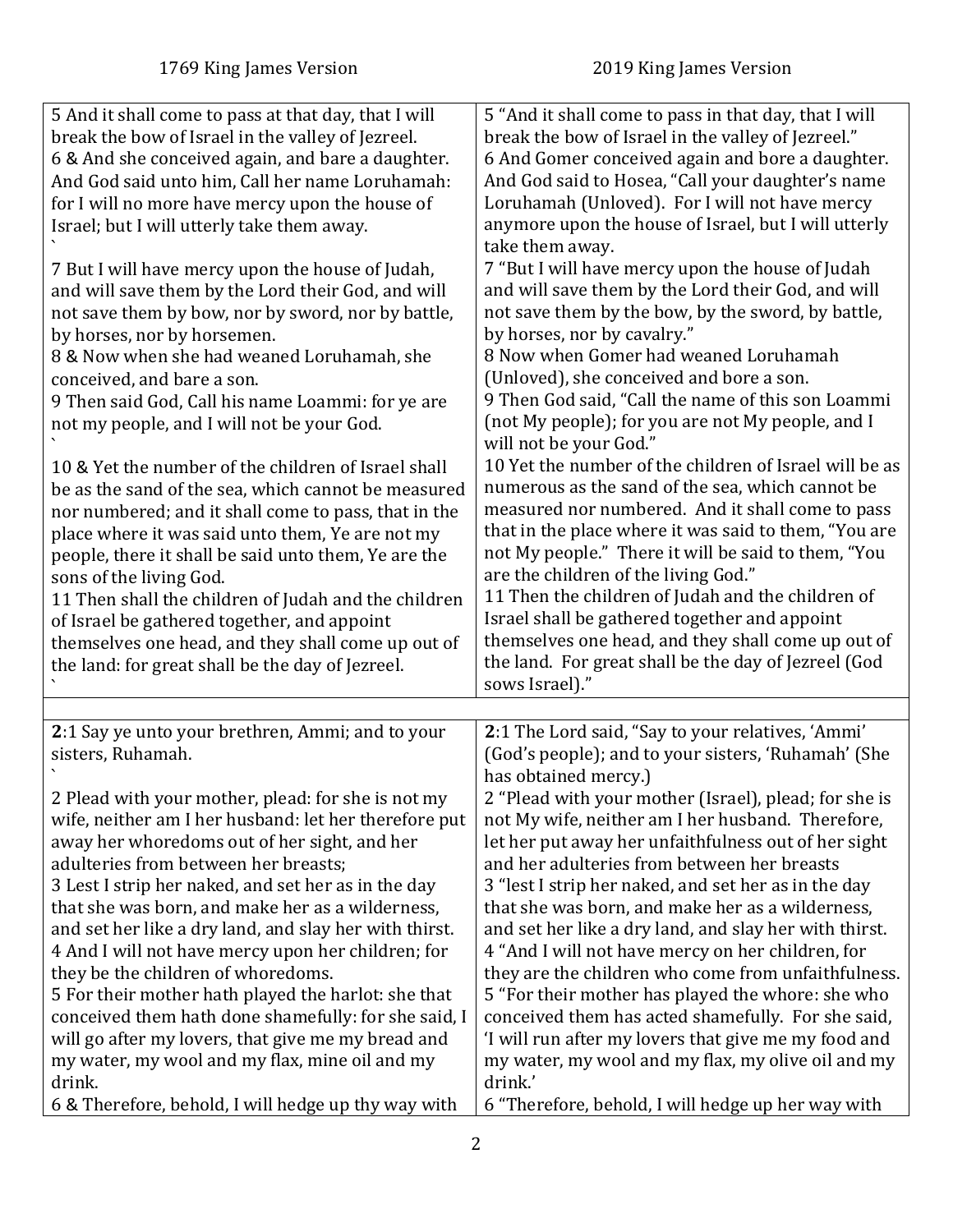<span id="page-1-0"></span>

| 5 And it shall come to pass at that day, that I will          | 5 "And it shall come to pass in that day, that I will         |
|---------------------------------------------------------------|---------------------------------------------------------------|
| break the bow of Israel in the valley of Jezreel.             | break the bow of Israel in the valley of Jezreel."            |
| 6 & And she conceived again, and bare a daughter.             | 6 And Gomer conceived again and bore a daughter.              |
| And God said unto him, Call her name Loruhamah:               | And God said to Hosea, "Call your daughter's name             |
| for I will no more have mercy upon the house of               | Loruhamah (Unloved). For I will not have mercy                |
| Israel; but I will utterly take them away.                    | anymore upon the house of Israel, but I will utterly          |
|                                                               | take them away.                                               |
| 7 But I will have mercy upon the house of Judah,              | 7 "But I will have mercy upon the house of Judah              |
| and will save them by the Lord their God, and will            | and will save them by the Lord their God, and will            |
| not save them by bow, nor by sword, nor by battle,            | not save them by the bow, by the sword, by battle,            |
| by horses, nor by horsemen.                                   | by horses, nor by cavalry."                                   |
| 8 & Now when she had weaned Loruhamah, she                    | 8 Now when Gomer had weaned Loruhamah                         |
| conceived, and bare a son.                                    | (Unloved), she conceived and bore a son.                      |
| 9 Then said God, Call his name Loammi: for ye are             | 9 Then God said, "Call the name of this son Loammi            |
| not my people, and I will not be your God.                    | (not My people); for you are not My people, and I             |
|                                                               | will not be your God."                                        |
| 10 & Yet the number of the children of Israel shall           | 10 Yet the number of the children of Israel will be as        |
|                                                               | numerous as the sand of the sea, which cannot be              |
| be as the sand of the sea, which cannot be measured           | measured nor numbered. And it shall come to pass              |
| nor numbered; and it shall come to pass, that in the          | that in the place where it was said to them, "You are         |
| place where it was said unto them, Ye are not my              | not My people." There it will be said to them, "You           |
| people, there it shall be said unto them, Ye are the          | are the children of the living God."                          |
| sons of the living God.                                       | 11 Then the children of Judah and the children of             |
| 11 Then shall the children of Judah and the children          | Israel shall be gathered together and appoint                 |
| of Israel be gathered together, and appoint                   | themselves one head, and they shall come up out of            |
| themselves one head, and they shall come up out of            | the land. For great shall be the day of Jezreel (God          |
| the land: for great shall be the day of Jezreel.              | sows Israel)."                                                |
|                                                               |                                                               |
|                                                               |                                                               |
| 2:1 Say ye unto your brethren, Ammi; and to your              | 2:1 The Lord said, "Say to your relatives, 'Ammi'             |
| sisters, Ruhamah.                                             | (God's people); and to your sisters, 'Ruhamah' (She           |
|                                                               | has obtained mercy.)                                          |
| 2 Plead with your mother, plead: for she is not my            | 2 "Plead with your mother (Israel), plead; for she is         |
| wife, neither am I her husband: let her therefore put         | not My wife, neither am I her husband. Therefore,             |
| away her whoredoms out of her sight, and her                  | let her put away her unfaithfulness out of her sight          |
| adulteries from between her breasts;                          | and her adulteries from between her breasts                   |
| 3 Lest I strip her naked, and set her as in the day           | 3 "lest I strip her naked, and set her as in the day          |
| that she was born, and make her as a wilderness,              | that she was born, and make her as a wilderness,              |
| and set her like a dry land, and slay her with thirst.        | and set her like a dry land, and slay her with thirst.        |
| 4 And I will not have mercy upon her children; for            | 4 "And I will not have mercy on her children, for             |
| they be the children of whoredoms.                            | they are the children who come from unfaithfulness.           |
| 5 For their mother hath played the harlot: she that           | 5 "For their mother has played the whore: she who             |
| conceived them hath done shamefully: for she said, I          | conceived them has acted shamefully. For she said,            |
| will go after my lovers, that give me my bread and            |                                                               |
|                                                               | 'I will run after my lovers that give me my food and          |
| my water, my wool and my flax, mine oil and my                | my water, my wool and my flax, my olive oil and my            |
| drink.<br>6 & Therefore, behold, I will hedge up thy way with | drink.'<br>6 "Therefore, behold, I will hedge up her way with |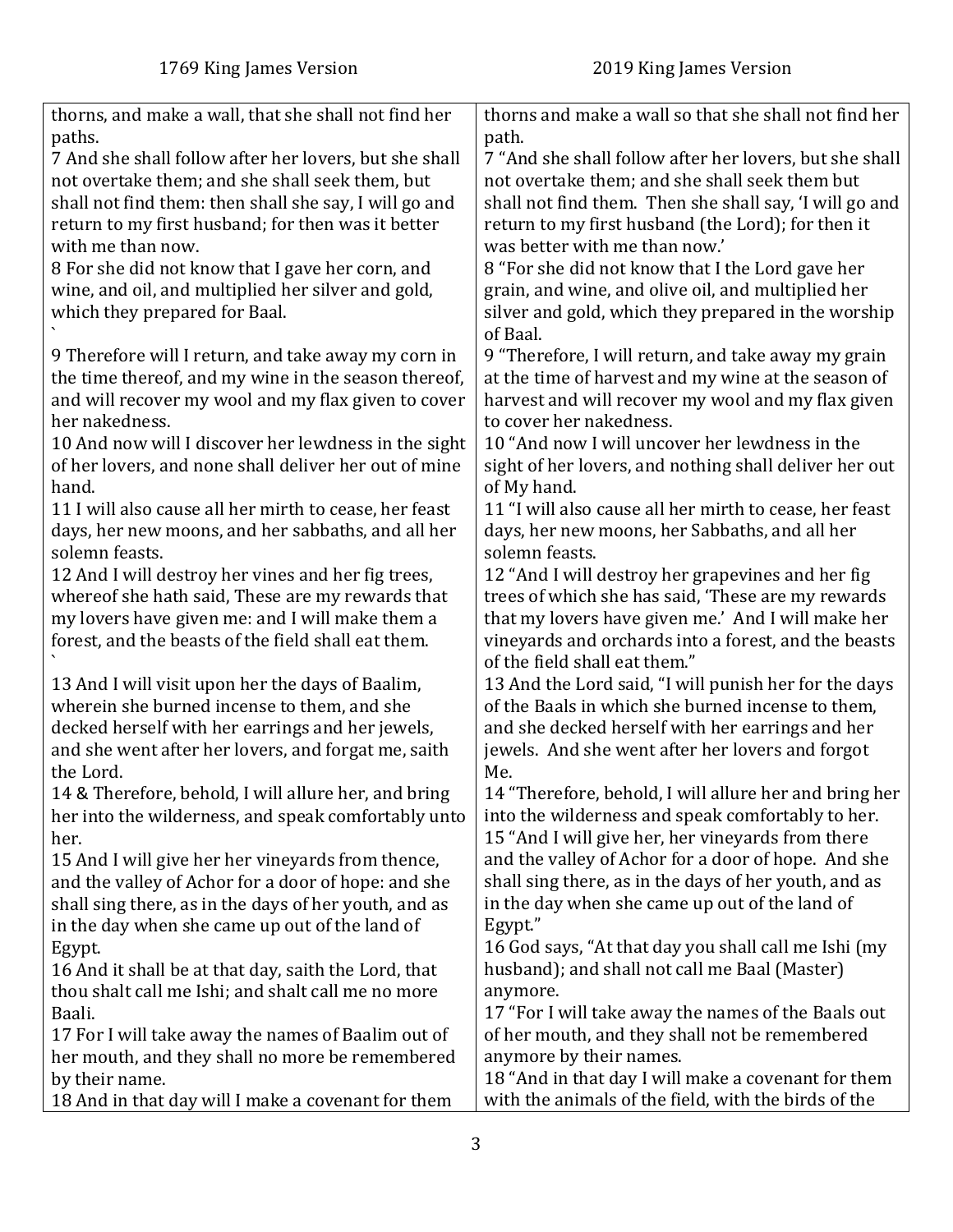| thorns, and make a wall, that she shall not find her   | thorns and make a wall so that she shall not find her   |
|--------------------------------------------------------|---------------------------------------------------------|
| paths.                                                 | path.                                                   |
| 7 And she shall follow after her lovers, but she shall | 7 "And she shall follow after her lovers, but she shall |
| not overtake them; and she shall seek them, but        | not overtake them; and she shall seek them but          |
| shall not find them: then shall she say, I will go and | shall not find them. Then she shall say, 'I will go and |
| return to my first husband; for then was it better     | return to my first husband (the Lord); for then it      |
| with me than now.                                      | was better with me than now.'                           |
| 8 For she did not know that I gave her corn, and       | 8 "For she did not know that I the Lord gave her        |
| wine, and oil, and multiplied her silver and gold,     | grain, and wine, and olive oil, and multiplied her      |
| which they prepared for Baal.                          | silver and gold, which they prepared in the worship     |
|                                                        | of Baal.                                                |
| 9 Therefore will I return, and take away my corn in    | 9 "Therefore, I will return, and take away my grain     |
| the time thereof, and my wine in the season thereof,   | at the time of harvest and my wine at the season of     |
| and will recover my wool and my flax given to cover    | harvest and will recover my wool and my flax given      |
| her nakedness.                                         | to cover her nakedness.                                 |
| 10 And now will I discover her lewdness in the sight   | 10 "And now I will uncover her lewdness in the          |
| of her lovers, and none shall deliver her out of mine  | sight of her lovers, and nothing shall deliver her out  |
| hand.                                                  | of My hand.                                             |
| 11 I will also cause all her mirth to cease, her feast | 11 "I will also cause all her mirth to cease, her feast |
| days, her new moons, and her sabbaths, and all her     | days, her new moons, her Sabbaths, and all her          |
| solemn feasts.                                         | solemn feasts.                                          |
| 12 And I will destroy her vines and her fig trees,     | 12 "And I will destroy her grapevines and her fig       |
| whereof she hath said, These are my rewards that       | trees of which she has said, 'These are my rewards      |
| my lovers have given me: and I will make them a        | that my lovers have given me.' And I will make her      |
| forest, and the beasts of the field shall eat them.    | vineyards and orchards into a forest, and the beasts    |
|                                                        | of the field shall eat them."                           |
| 13 And I will visit upon her the days of Baalim,       | 13 And the Lord said, "I will punish her for the days   |
| wherein she burned incense to them, and she            | of the Baals in which she burned incense to them,       |
| decked herself with her earrings and her jewels,       | and she decked herself with her earrings and her        |
| and she went after her lovers, and forgat me, saith    | jewels. And she went after her lovers and forgot        |
| the Lord.                                              | Me.                                                     |
| 14 & Therefore, behold, I will allure her, and bring   | 14 "Therefore, behold, I will allure her and bring her  |
| her into the wilderness, and speak comfortably unto    | into the wilderness and speak comfortably to her.       |
| her.                                                   | 15 "And I will give her, her vineyards from there       |
| 15 And I will give her her vineyards from thence,      | and the valley of Achor for a door of hope. And she     |
| and the valley of Achor for a door of hope: and she    | shall sing there, as in the days of her youth, and as   |
| shall sing there, as in the days of her youth, and as  | in the day when she came up out of the land of          |
| in the day when she came up out of the land of         | Egypt."                                                 |
| Egypt.                                                 | 16 God says, "At that day you shall call me Ishi (my    |
| 16 And it shall be at that day, saith the Lord, that   | husband); and shall not call me Baal (Master)           |
| thou shalt call me Ishi; and shalt call me no more     | anymore.                                                |
| Baali.                                                 | 17 "For I will take away the names of the Baals out     |
| 17 For I will take away the names of Baalim out of     | of her mouth, and they shall not be remembered          |
| her mouth, and they shall no more be remembered        | anymore by their names.                                 |
| by their name.                                         | 18 "And in that day I will make a covenant for them     |
| 18 And in that day will I make a covenant for them     | with the animals of the field, with the birds of the    |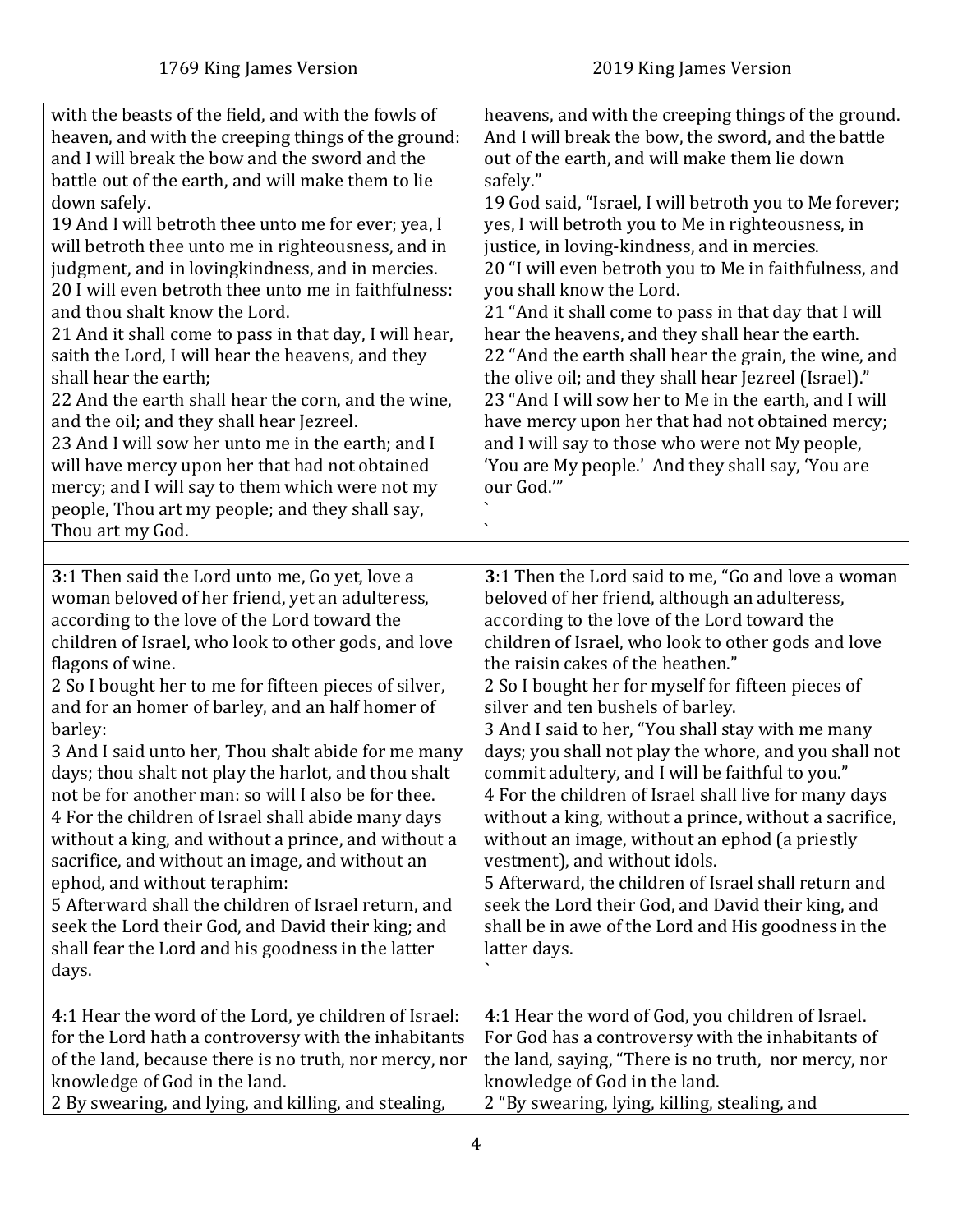<span id="page-3-1"></span><span id="page-3-0"></span>

| with the beasts of the field, and with the fowls of<br>heaven, and with the creeping things of the ground:<br>and I will break the bow and the sword and the<br>battle out of the earth, and will make them to lie<br>down safely.<br>19 And I will betroth thee unto me for ever; yea, I<br>will betroth thee unto me in righteousness, and in<br>judgment, and in lovingkindness, and in mercies.<br>20 I will even betroth thee unto me in faithfulness:<br>and thou shalt know the Lord.<br>21 And it shall come to pass in that day, I will hear,<br>saith the Lord, I will hear the heavens, and they<br>shall hear the earth;<br>22 And the earth shall hear the corn, and the wine,<br>and the oil; and they shall hear Jezreel.<br>23 And I will sow her unto me in the earth; and I<br>will have mercy upon her that had not obtained<br>mercy; and I will say to them which were not my<br>people, Thou art my people; and they shall say,<br>Thou art my God. | heavens, and with the creeping things of the ground.<br>And I will break the bow, the sword, and the battle<br>out of the earth, and will make them lie down<br>safely."<br>19 God said, "Israel, I will betroth you to Me forever;<br>yes, I will betroth you to Me in righteousness, in<br>justice, in loving-kindness, and in mercies.<br>20 "I will even betroth you to Me in faithfulness, and<br>you shall know the Lord.<br>21 "And it shall come to pass in that day that I will<br>hear the heavens, and they shall hear the earth.<br>22 "And the earth shall hear the grain, the wine, and<br>the olive oil; and they shall hear Jezreel (Israel)."<br>23 "And I will sow her to Me in the earth, and I will<br>have mercy upon her that had not obtained mercy;<br>and I will say to those who were not My people,<br>'You are My people.' And they shall say, 'You are<br>our God."         |
|---------------------------------------------------------------------------------------------------------------------------------------------------------------------------------------------------------------------------------------------------------------------------------------------------------------------------------------------------------------------------------------------------------------------------------------------------------------------------------------------------------------------------------------------------------------------------------------------------------------------------------------------------------------------------------------------------------------------------------------------------------------------------------------------------------------------------------------------------------------------------------------------------------------------------------------------------------------------------|----------------------------------------------------------------------------------------------------------------------------------------------------------------------------------------------------------------------------------------------------------------------------------------------------------------------------------------------------------------------------------------------------------------------------------------------------------------------------------------------------------------------------------------------------------------------------------------------------------------------------------------------------------------------------------------------------------------------------------------------------------------------------------------------------------------------------------------------------------------------------------------------------------|
| 3:1 Then said the Lord unto me, Go yet, love a<br>woman beloved of her friend, yet an adulteress,<br>according to the love of the Lord toward the<br>children of Israel, who look to other gods, and love<br>flagons of wine.<br>2 So I bought her to me for fifteen pieces of silver,<br>and for an homer of barley, and an half homer of<br>barley:<br>3 And I said unto her, Thou shalt abide for me many<br>days; thou shalt not play the harlot, and thou shalt<br>not be for another man: so will I also be for thee.<br>4 For the children of Israel shall abide many days<br>without a king, and without a prince, and without a<br>sacrifice, and without an image, and without an<br>ephod, and without teraphim:<br>5 Afterward shall the children of Israel return, and<br>seek the Lord their God, and David their king; and<br>shall fear the Lord and his goodness in the latter<br>days.                                                                  | 3:1 Then the Lord said to me, "Go and love a woman<br>beloved of her friend, although an adulteress,<br>according to the love of the Lord toward the<br>children of Israel, who look to other gods and love<br>the raisin cakes of the heathen."<br>2 So I bought her for myself for fifteen pieces of<br>silver and ten bushels of barley.<br>3 And I said to her, "You shall stay with me many<br>days; you shall not play the whore, and you shall not<br>commit adultery, and I will be faithful to you."<br>4 For the children of Israel shall live for many days<br>without a king, without a prince, without a sacrifice,<br>without an image, without an ephod (a priestly<br>vestment), and without idols.<br>5 Afterward, the children of Israel shall return and<br>seek the Lord their God, and David their king, and<br>shall be in awe of the Lord and His goodness in the<br>latter days. |
|                                                                                                                                                                                                                                                                                                                                                                                                                                                                                                                                                                                                                                                                                                                                                                                                                                                                                                                                                                           |                                                                                                                                                                                                                                                                                                                                                                                                                                                                                                                                                                                                                                                                                                                                                                                                                                                                                                          |
| 4:1 Hear the word of the Lord, ye children of Israel:<br>for the Lord hath a controversy with the inhabitants<br>of the land, because there is no truth, nor mercy, nor<br>knowledge of God in the land.<br>2 By swearing, and lying, and killing, and stealing,                                                                                                                                                                                                                                                                                                                                                                                                                                                                                                                                                                                                                                                                                                          | 4:1 Hear the word of God, you children of Israel.<br>For God has a controversy with the inhabitants of<br>the land, saying, "There is no truth, nor mercy, nor<br>knowledge of God in the land.<br>2 "By swearing, lying, killing, stealing, and                                                                                                                                                                                                                                                                                                                                                                                                                                                                                                                                                                                                                                                         |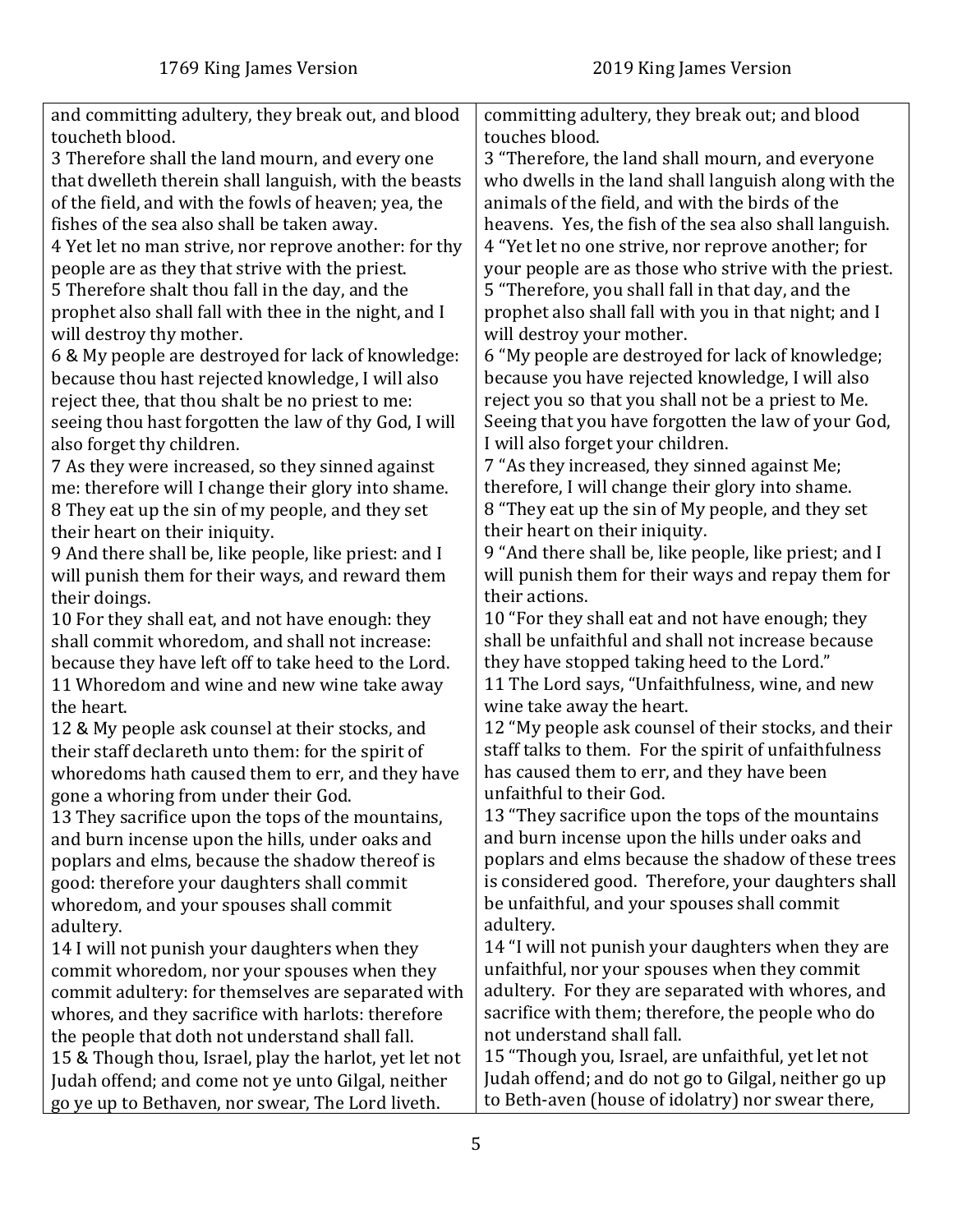| and committing adultery, they break out, and blood     | committing adultery, they break out; and blood         |
|--------------------------------------------------------|--------------------------------------------------------|
| toucheth blood.                                        | touches blood.                                         |
| 3 Therefore shall the land mourn, and every one        | 3 "Therefore, the land shall mourn, and everyone       |
| that dwelleth therein shall languish, with the beasts  | who dwells in the land shall languish along with the   |
| of the field, and with the fowls of heaven; yea, the   | animals of the field, and with the birds of the        |
| fishes of the sea also shall be taken away.            | heavens. Yes, the fish of the sea also shall languish. |
| 4 Yet let no man strive, nor reprove another: for thy  | 4 "Yet let no one strive, nor reprove another; for     |
| people are as they that strive with the priest.        | your people are as those who strive with the priest.   |
| 5 Therefore shalt thou fall in the day, and the        | 5 "Therefore, you shall fall in that day, and the      |
| prophet also shall fall with thee in the night, and I  | prophet also shall fall with you in that night; and I  |
| will destroy thy mother.                               | will destroy your mother.                              |
| 6 & My people are destroyed for lack of knowledge:     | 6 "My people are destroyed for lack of knowledge;      |
| because thou hast rejected knowledge, I will also      | because you have rejected knowledge, I will also       |
| reject thee, that thou shalt be no priest to me:       | reject you so that you shall not be a priest to Me.    |
| seeing thou hast forgotten the law of thy God, I will  | Seeing that you have forgotten the law of your God,    |
| also forget thy children.                              | I will also forget your children.                      |
| 7 As they were increased, so they sinned against       | 7 "As they increased, they sinned against Me;          |
| me: therefore will I change their glory into shame.    | therefore, I will change their glory into shame.       |
| 8 They eat up the sin of my people, and they set       | 8 "They eat up the sin of My people, and they set      |
| their heart on their iniquity.                         | their heart on their iniquity.                         |
| 9 And there shall be, like people, like priest: and I  | 9 "And there shall be, like people, like priest; and I |
| will punish them for their ways, and reward them       | will punish them for their ways and repay them for     |
| their doings.                                          | their actions.                                         |
| 10 For they shall eat, and not have enough: they       | 10 "For they shall eat and not have enough; they       |
| shall commit whoredom, and shall not increase:         | shall be unfaithful and shall not increase because     |
| because they have left off to take heed to the Lord.   | they have stopped taking heed to the Lord."            |
| 11 Whoredom and wine and new wine take away            | 11 The Lord says, "Unfaithfulness, wine, and new       |
| the heart.                                             | wine take away the heart.                              |
| 12 & My people ask counsel at their stocks, and        | 12 "My people ask counsel of their stocks, and their   |
| their staff declareth unto them: for the spirit of     | staff talks to them. For the spirit of unfaithfulness  |
| whoredoms hath caused them to err, and they have       | has caused them to err, and they have been             |
| gone a whoring from under their God.                   | unfaithful to their God.                               |
| 13 They sacrifice upon the tops of the mountains,      | 13 "They sacrifice upon the tops of the mountains      |
| and burn incense upon the hills, under oaks and        | and burn incense upon the hills under oaks and         |
| poplars and elms, because the shadow thereof is        | poplars and elms because the shadow of these trees     |
| good: therefore your daughters shall commit            | is considered good. Therefore, your daughters shall    |
| whoredom, and your spouses shall commit                | be unfaithful, and your spouses shall commit           |
| adultery.                                              | adultery.                                              |
| 14 I will not punish your daughters when they          | 14 "I will not punish your daughters when they are     |
| commit whoredom, nor your spouses when they            | unfaithful, nor your spouses when they commit          |
| commit adultery: for themselves are separated with     | adultery. For they are separated with whores, and      |
| whores, and they sacrifice with harlots: therefore     | sacrifice with them; therefore, the people who do      |
| the people that doth not understand shall fall.        | not understand shall fall.                             |
| 15 & Though thou, Israel, play the harlot, yet let not | 15 "Though you, Israel, are unfaithful, yet let not    |
| Judah offend; and come not ye unto Gilgal, neither     | Judah offend; and do not go to Gilgal, neither go up   |
| go ye up to Bethaven, nor swear, The Lord liveth.      | to Beth-aven (house of idolatry) nor swear there,      |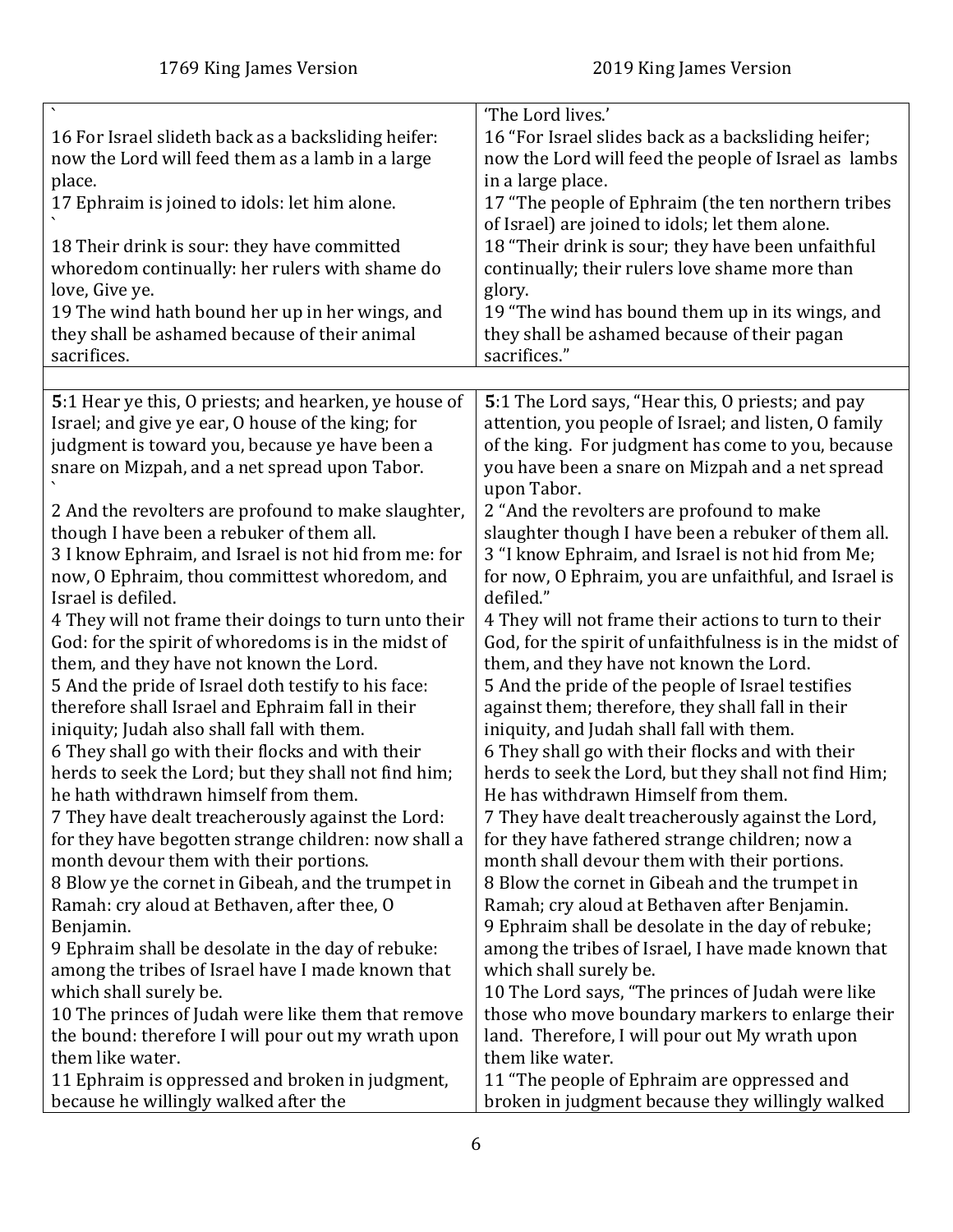<span id="page-5-0"></span>

| 16 For Israel slideth back as a backsliding heifer:<br>now the Lord will feed them as a lamb in a large<br>place.<br>17 Ephraim is joined to idols: let him alone.<br>18 Their drink is sour: they have committed<br>whoredom continually: her rulers with shame do<br>love, Give ye.<br>19 The wind hath bound her up in her wings, and<br>they shall be ashamed because of their animal | 'The Lord lives.'<br>16 "For Israel slides back as a backsliding heifer;<br>now the Lord will feed the people of Israel as lambs<br>in a large place.<br>17 "The people of Ephraim (the ten northern tribes<br>of Israel) are joined to idols; let them alone.<br>18 "Their drink is sour; they have been unfaithful<br>continually; their rulers love shame more than<br>glory.<br>19 "The wind has bound them up in its wings, and<br>they shall be ashamed because of their pagan |
|-------------------------------------------------------------------------------------------------------------------------------------------------------------------------------------------------------------------------------------------------------------------------------------------------------------------------------------------------------------------------------------------|--------------------------------------------------------------------------------------------------------------------------------------------------------------------------------------------------------------------------------------------------------------------------------------------------------------------------------------------------------------------------------------------------------------------------------------------------------------------------------------|
| sacrifices.                                                                                                                                                                                                                                                                                                                                                                               | sacrifices."                                                                                                                                                                                                                                                                                                                                                                                                                                                                         |
| 5:1 Hear ye this, O priests; and hearken, ye house of<br>Israel; and give ye ear, O house of the king; for<br>judgment is toward you, because ye have been a<br>snare on Mizpah, and a net spread upon Tabor.                                                                                                                                                                             | 5:1 The Lord says, "Hear this, O priests; and pay<br>attention, you people of Israel; and listen, O family<br>of the king. For judgment has come to you, because<br>you have been a snare on Mizpah and a net spread<br>upon Tabor.                                                                                                                                                                                                                                                  |
| 2 And the revolters are profound to make slaughter,                                                                                                                                                                                                                                                                                                                                       | 2 "And the revolters are profound to make                                                                                                                                                                                                                                                                                                                                                                                                                                            |
| though I have been a rebuker of them all.                                                                                                                                                                                                                                                                                                                                                 | slaughter though I have been a rebuker of them all.                                                                                                                                                                                                                                                                                                                                                                                                                                  |
| 3 I know Ephraim, and Israel is not hid from me: for                                                                                                                                                                                                                                                                                                                                      | 3 "I know Ephraim, and Israel is not hid from Me;                                                                                                                                                                                                                                                                                                                                                                                                                                    |
| now, O Ephraim, thou committest whoredom, and                                                                                                                                                                                                                                                                                                                                             | for now, O Ephraim, you are unfaithful, and Israel is                                                                                                                                                                                                                                                                                                                                                                                                                                |
| Israel is defiled.                                                                                                                                                                                                                                                                                                                                                                        | defiled."                                                                                                                                                                                                                                                                                                                                                                                                                                                                            |
| 4 They will not frame their doings to turn unto their                                                                                                                                                                                                                                                                                                                                     | 4 They will not frame their actions to turn to their                                                                                                                                                                                                                                                                                                                                                                                                                                 |
| God: for the spirit of whoredoms is in the midst of                                                                                                                                                                                                                                                                                                                                       | God, for the spirit of unfaithfulness is in the midst of                                                                                                                                                                                                                                                                                                                                                                                                                             |
| them, and they have not known the Lord.                                                                                                                                                                                                                                                                                                                                                   | them, and they have not known the Lord.                                                                                                                                                                                                                                                                                                                                                                                                                                              |
| 5 And the pride of Israel doth testify to his face:                                                                                                                                                                                                                                                                                                                                       | 5 And the pride of the people of Israel testifies                                                                                                                                                                                                                                                                                                                                                                                                                                    |
| therefore shall Israel and Ephraim fall in their                                                                                                                                                                                                                                                                                                                                          | against them; therefore, they shall fall in their                                                                                                                                                                                                                                                                                                                                                                                                                                    |
| iniquity; Judah also shall fall with them.                                                                                                                                                                                                                                                                                                                                                | iniquity, and Judah shall fall with them.                                                                                                                                                                                                                                                                                                                                                                                                                                            |
| 6 They shall go with their flocks and with their                                                                                                                                                                                                                                                                                                                                          | 6 They shall go with their flocks and with their                                                                                                                                                                                                                                                                                                                                                                                                                                     |
| herds to seek the Lord; but they shall not find him;                                                                                                                                                                                                                                                                                                                                      | herds to seek the Lord, but they shall not find Him;                                                                                                                                                                                                                                                                                                                                                                                                                                 |
| he hath withdrawn himself from them.                                                                                                                                                                                                                                                                                                                                                      | He has withdrawn Himself from them.                                                                                                                                                                                                                                                                                                                                                                                                                                                  |
| 7 They have dealt treacherously against the Lord:                                                                                                                                                                                                                                                                                                                                         | 7 They have dealt treacherously against the Lord,                                                                                                                                                                                                                                                                                                                                                                                                                                    |
| for they have begotten strange children: now shall a                                                                                                                                                                                                                                                                                                                                      | for they have fathered strange children; now a                                                                                                                                                                                                                                                                                                                                                                                                                                       |
| month devour them with their portions.                                                                                                                                                                                                                                                                                                                                                    | month shall devour them with their portions.                                                                                                                                                                                                                                                                                                                                                                                                                                         |
| 8 Blow ye the cornet in Gibeah, and the trumpet in                                                                                                                                                                                                                                                                                                                                        | 8 Blow the cornet in Gibeah and the trumpet in                                                                                                                                                                                                                                                                                                                                                                                                                                       |
| Ramah: cry aloud at Bethaven, after thee, O                                                                                                                                                                                                                                                                                                                                               | Ramah; cry aloud at Bethaven after Benjamin.                                                                                                                                                                                                                                                                                                                                                                                                                                         |
| Benjamin.                                                                                                                                                                                                                                                                                                                                                                                 | 9 Ephraim shall be desolate in the day of rebuke;                                                                                                                                                                                                                                                                                                                                                                                                                                    |
| 9 Ephraim shall be desolate in the day of rebuke:                                                                                                                                                                                                                                                                                                                                         | among the tribes of Israel, I have made known that                                                                                                                                                                                                                                                                                                                                                                                                                                   |
| among the tribes of Israel have I made known that                                                                                                                                                                                                                                                                                                                                         | which shall surely be.                                                                                                                                                                                                                                                                                                                                                                                                                                                               |
| which shall surely be.                                                                                                                                                                                                                                                                                                                                                                    | 10 The Lord says, "The princes of Judah were like                                                                                                                                                                                                                                                                                                                                                                                                                                    |
| 10 The princes of Judah were like them that remove                                                                                                                                                                                                                                                                                                                                        | those who move boundary markers to enlarge their                                                                                                                                                                                                                                                                                                                                                                                                                                     |
| the bound: therefore I will pour out my wrath upon                                                                                                                                                                                                                                                                                                                                        | land. Therefore, I will pour out My wrath upon                                                                                                                                                                                                                                                                                                                                                                                                                                       |
| them like water.                                                                                                                                                                                                                                                                                                                                                                          | them like water.                                                                                                                                                                                                                                                                                                                                                                                                                                                                     |
| 11 Ephraim is oppressed and broken in judgment,                                                                                                                                                                                                                                                                                                                                           | 11 "The people of Ephraim are oppressed and                                                                                                                                                                                                                                                                                                                                                                                                                                          |
| because he willingly walked after the                                                                                                                                                                                                                                                                                                                                                     | broken in judgment because they willingly walked                                                                                                                                                                                                                                                                                                                                                                                                                                     |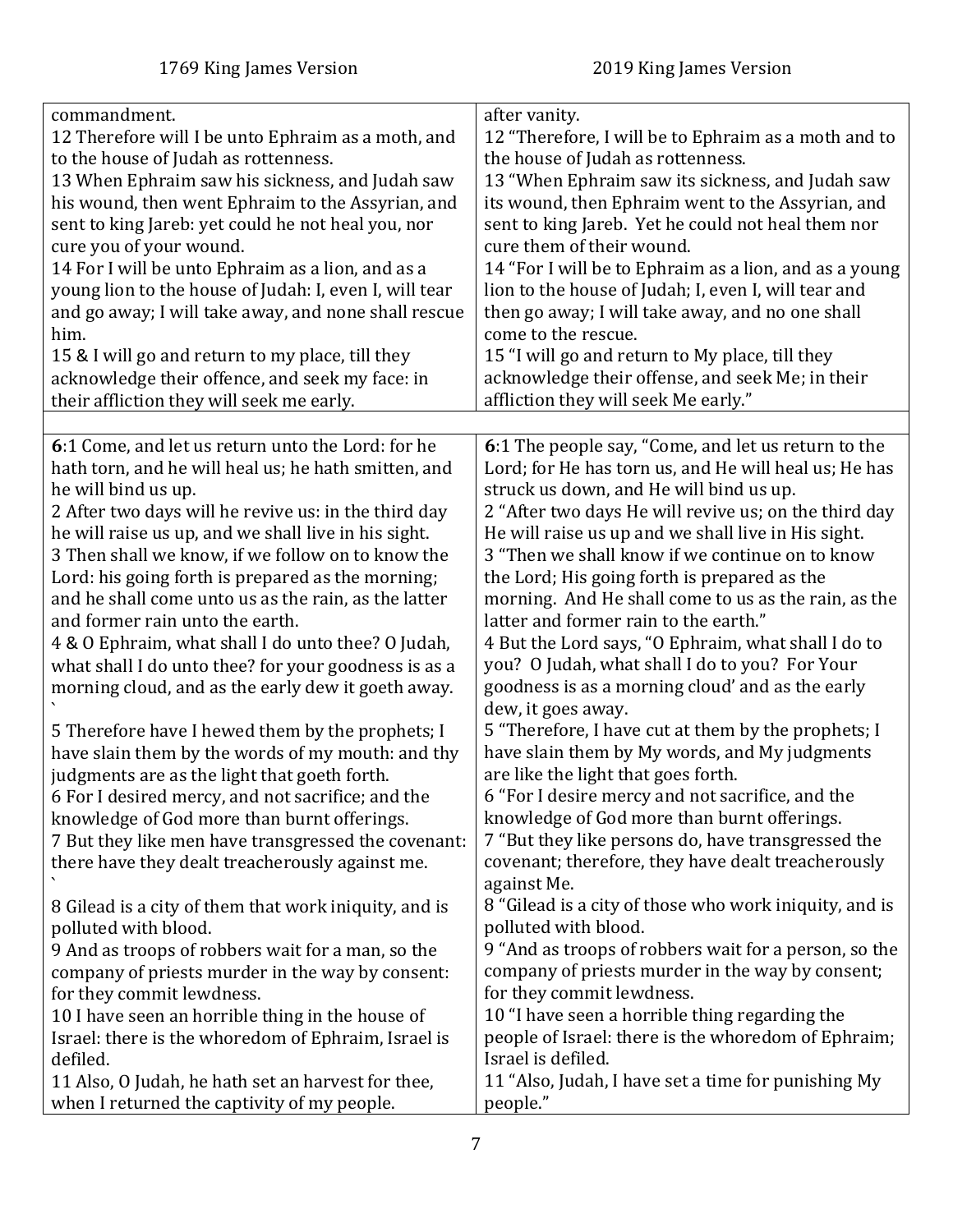<span id="page-6-0"></span>

| commandment.                                           | after vanity.                                          |
|--------------------------------------------------------|--------------------------------------------------------|
| 12 Therefore will I be unto Ephraim as a moth, and     | 12 "Therefore, I will be to Ephraim as a moth and to   |
| to the house of Judah as rottenness.                   | the house of Judah as rottenness.                      |
| 13 When Ephraim saw his sickness, and Judah saw        | 13 "When Ephraim saw its sickness, and Judah saw       |
| his wound, then went Ephraim to the Assyrian, and      | its wound, then Ephraim went to the Assyrian, and      |
| sent to king Jareb: yet could he not heal you, nor     | sent to king Jareb. Yet he could not heal them nor     |
| cure you of your wound.                                | cure them of their wound.                              |
| 14 For I will be unto Ephraim as a lion, and as a      | 14 "For I will be to Ephraim as a lion, and as a young |
| young lion to the house of Judah: I, even I, will tear | lion to the house of Judah; I, even I, will tear and   |
| and go away; I will take away, and none shall rescue   | then go away; I will take away, and no one shall       |
| him.                                                   | come to the rescue.                                    |
| 15 & I will go and return to my place, till they       | 15 "I will go and return to My place, till they        |
| acknowledge their offence, and seek my face: in        | acknowledge their offense, and seek Me; in their       |
| their affliction they will seek me early.              | affliction they will seek Me early."                   |
|                                                        |                                                        |
| 6:1 Come, and let us return unto the Lord: for he      | 6:1 The people say, "Come, and let us return to the    |
| hath torn, and he will heal us; he hath smitten, and   | Lord; for He has torn us, and He will heal us; He has  |
| he will bind us up.                                    | struck us down, and He will bind us up.                |
| 2 After two days will he revive us: in the third day   | 2 "After two days He will revive us; on the third day  |
| he will raise us up, and we shall live in his sight.   | He will raise us up and we shall live in His sight.    |
| 3 Then shall we know, if we follow on to know the      | 3 "Then we shall know if we continue on to know        |
|                                                        |                                                        |
| Lord: his going forth is prepared as the morning;      | the Lord; His going forth is prepared as the           |
| and he shall come unto us as the rain, as the latter   | morning. And He shall come to us as the rain, as the   |
| and former rain unto the earth.                        | latter and former rain to the earth."                  |
| 4 & O Ephraim, what shall I do unto thee? O Judah,     | 4 But the Lord says, "O Ephraim, what shall I do to    |
| what shall I do unto thee? for your goodness is as a   | you? O Judah, what shall I do to you? For Your         |
| morning cloud, and as the early dew it goeth away.     | goodness is as a morning cloud' and as the early       |
|                                                        | dew, it goes away.                                     |
| 5 Therefore have I hewed them by the prophets; I       | 5 "Therefore, I have cut at them by the prophets; I    |
| have slain them by the words of my mouth: and thy      | have slain them by My words, and My judgments          |
| judgments are as the light that goeth forth.           | are like the light that goes forth.                    |
| 6 For I desired mercy, and not sacrifice; and the      | 6 "For I desire mercy and not sacrifice, and the       |
| knowledge of God more than burnt offerings.            | knowledge of God more than burnt offerings.            |
| 7 But they like men have transgressed the covenant:    | 7 "But they like persons do, have transgressed the     |
| there have they dealt treacherously against me.        | covenant; therefore, they have dealt treacherously     |
|                                                        | against Me.                                            |
| 8 Gilead is a city of them that work iniquity, and is  | 8 "Gilead is a city of those who work iniquity, and is |
| polluted with blood.                                   | polluted with blood.                                   |
| 9 And as troops of robbers wait for a man, so the      | 9 "And as troops of robbers wait for a person, so the  |
| company of priests murder in the way by consent:       | company of priests murder in the way by consent;       |
| for they commit lewdness.                              | for they commit lewdness.                              |
| 10 I have seen an horrible thing in the house of       | 10 "I have seen a horrible thing regarding the         |
| Israel: there is the whoredom of Ephraim, Israel is    | people of Israel: there is the whoredom of Ephraim;    |
| defiled.                                               | Israel is defiled.                                     |
| 11 Also, O Judah, he hath set an harvest for thee,     | 11 "Also, Judah, I have set a time for punishing My    |
|                                                        |                                                        |
| when I returned the captivity of my people.            | people."                                               |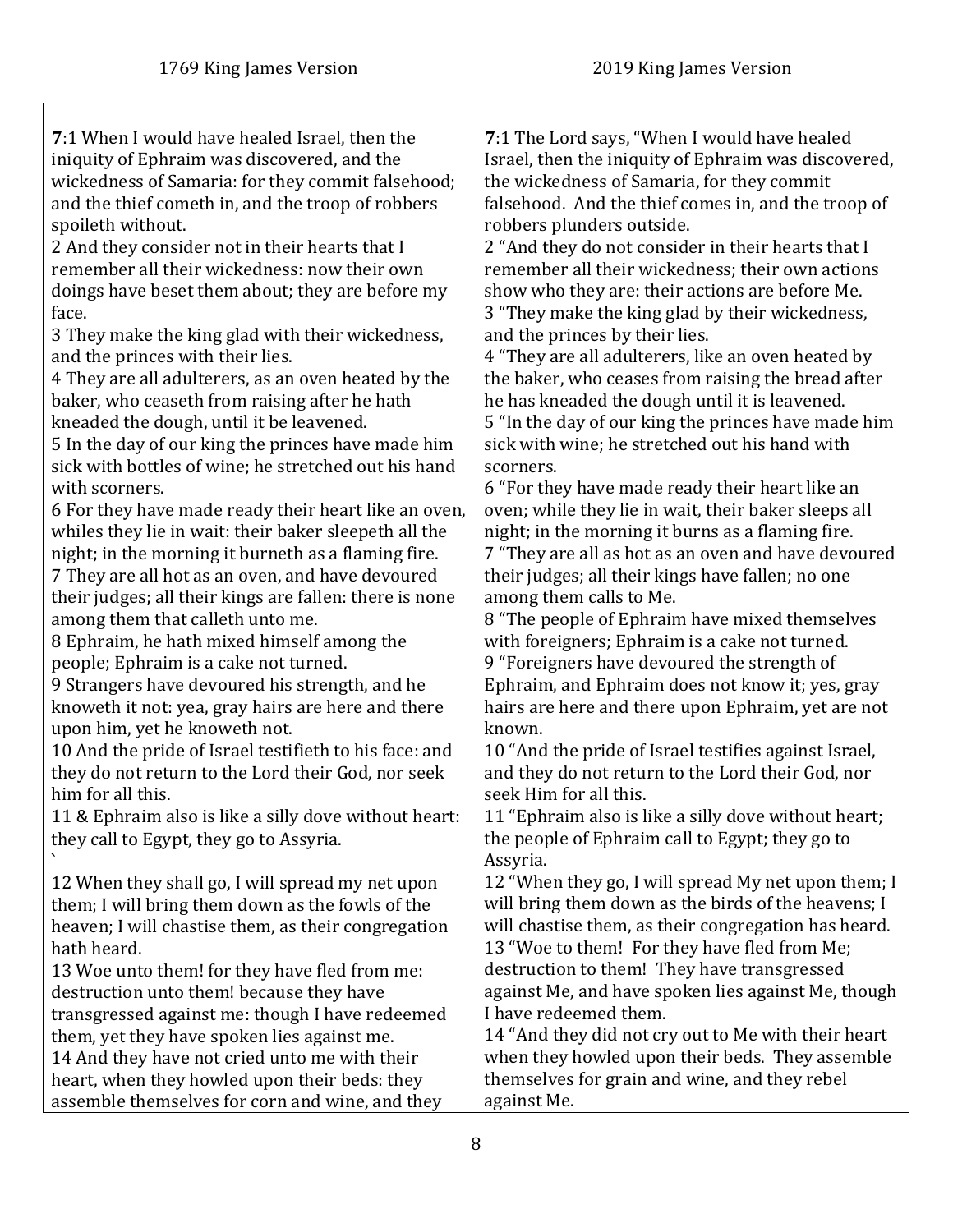$\Gamma$ 

<span id="page-7-0"></span>

| 7:1 When I would have healed Israel, then the           | 7:1 The Lord says, "When I would have healed          |
|---------------------------------------------------------|-------------------------------------------------------|
| iniquity of Ephraim was discovered, and the             | Israel, then the iniquity of Ephraim was discovered,  |
| wickedness of Samaria: for they commit falsehood;       | the wickedness of Samaria, for they commit            |
| and the thief cometh in, and the troop of robbers       | falsehood. And the thief comes in, and the troop of   |
| spoileth without.                                       | robbers plunders outside.                             |
| 2 And they consider not in their hearts that I          | 2 "And they do not consider in their hearts that I    |
| remember all their wickedness: now their own            | remember all their wickedness; their own actions      |
| doings have beset them about; they are before my        | show who they are: their actions are before Me.       |
| face.                                                   | 3 "They make the king glad by their wickedness,       |
| 3 They make the king glad with their wickedness,        | and the princes by their lies.                        |
| and the princes with their lies.                        | 4 "They are all adulterers, like an oven heated by    |
| 4 They are all adulterers, as an oven heated by the     | the baker, who ceases from raising the bread after    |
| baker, who ceaseth from raising after he hath           | he has kneaded the dough until it is leavened.        |
| kneaded the dough, until it be leavened.                | 5 "In the day of our king the princes have made him   |
| 5 In the day of our king the princes have made him      | sick with wine; he stretched out his hand with        |
| sick with bottles of wine; he stretched out his hand    | scorners.                                             |
| with scorners.                                          | 6 "For they have made ready their heart like an       |
| 6 For they have made ready their heart like an oven,    | oven; while they lie in wait, their baker sleeps all  |
| whiles they lie in wait: their baker sleepeth all the   | night; in the morning it burns as a flaming fire.     |
| night; in the morning it burneth as a flaming fire.     | 7 "They are all as hot as an oven and have devoured   |
| 7 They are all hot as an oven, and have devoured        | their judges; all their kings have fallen; no one     |
| their judges; all their kings are fallen: there is none | among them calls to Me.                               |
| among them that calleth unto me.                        | 8 "The people of Ephraim have mixed themselves        |
| 8 Ephraim, he hath mixed himself among the              | with foreigners; Ephraim is a cake not turned.        |
| people; Ephraim is a cake not turned.                   | 9 "Foreigners have devoured the strength of           |
| 9 Strangers have devoured his strength, and he          | Ephraim, and Ephraim does not know it; yes, gray      |
| knoweth it not: yea, gray hairs are here and there      | hairs are here and there upon Ephraim, yet are not    |
| upon him, yet he knoweth not.                           | known.                                                |
| 10 And the pride of Israel testifieth to his face: and  | 10 "And the pride of Israel testifies against Israel, |
| they do not return to the Lord their God, nor seek      | and they do not return to the Lord their God, nor     |
| him for all this.                                       | seek Him for all this.                                |
| 11 & Ephraim also is like a silly dove without heart:   | 11 "Ephraim also is like a silly dove without heart;  |
| they call to Egypt, they go to Assyria.                 | the people of Ephraim call to Egypt; they go to       |
|                                                         | Assyria.                                              |
| 12 When they shall go, I will spread my net upon        | 12 "When they go, I will spread My net upon them; I   |
| them; I will bring them down as the fowls of the        | will bring them down as the birds of the heavens; I   |
| heaven; I will chastise them, as their congregation     | will chastise them, as their congregation has heard.  |
| hath heard.                                             | 13 "Woe to them! For they have fled from Me;          |
| 13 Woe unto them! for they have fled from me:           | destruction to them! They have transgressed           |
| destruction unto them! because they have                | against Me, and have spoken lies against Me, though   |
| transgressed against me: though I have redeemed         | I have redeemed them.                                 |
| them, yet they have spoken lies against me.             | 14 "And they did not cry out to Me with their heart   |
| 14 And they have not cried unto me with their           | when they howled upon their beds. They assemble       |
| heart, when they howled upon their beds: they           | themselves for grain and wine, and they rebel         |
| assemble themselves for corn and wine, and they         | against Me.                                           |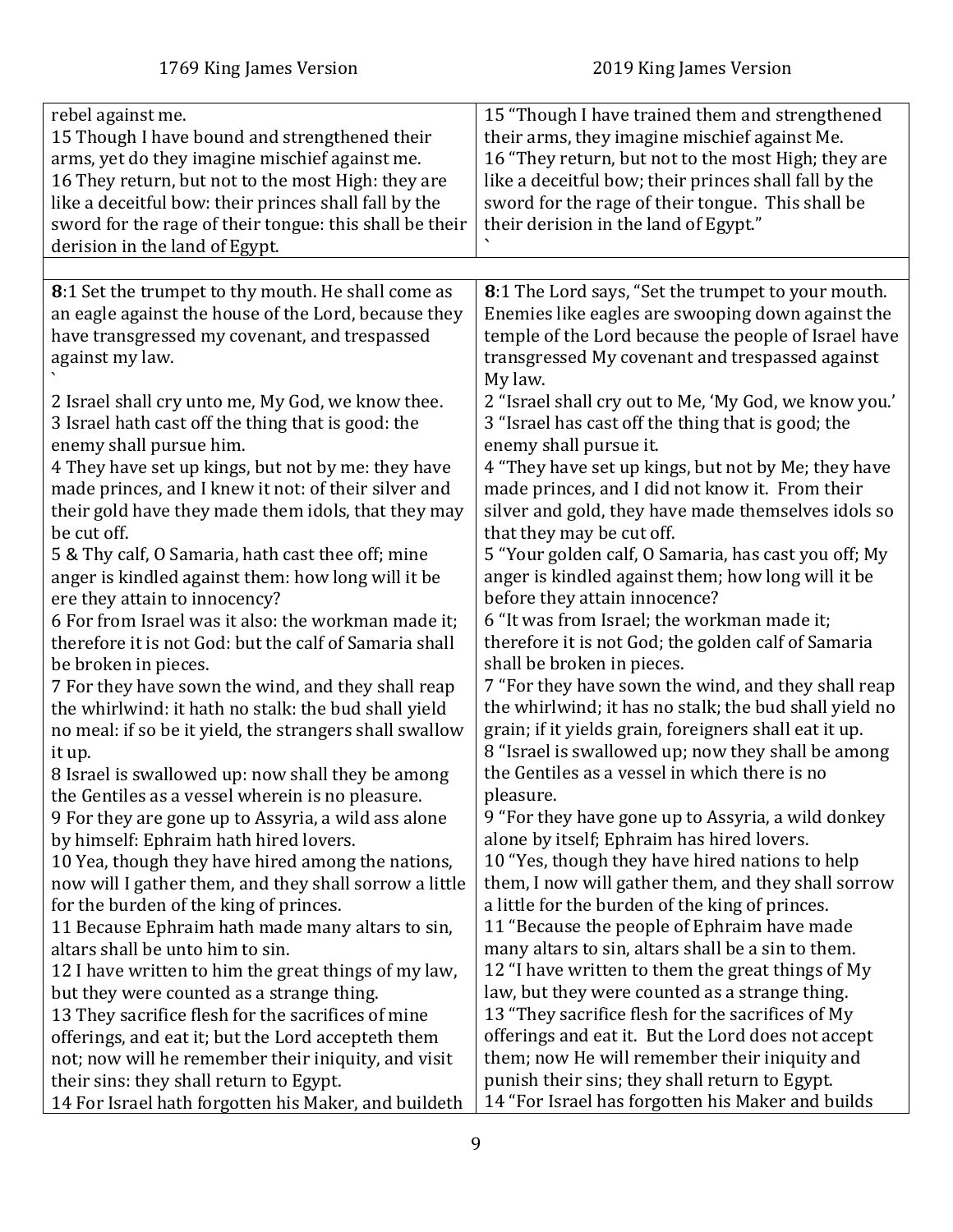<span id="page-8-0"></span>

| rebel against me.                                       | 15 "Though I have trained them and strengthened        |
|---------------------------------------------------------|--------------------------------------------------------|
| 15 Though I have bound and strengthened their           | their arms, they imagine mischief against Me.          |
| arms, yet do they imagine mischief against me.          | 16 "They return, but not to the most High; they are    |
| 16 They return, but not to the most High: they are      | like a deceitful bow; their princes shall fall by the  |
| like a deceitful bow: their princes shall fall by the   | sword for the rage of their tongue. This shall be      |
| sword for the rage of their tongue: this shall be their | their derision in the land of Egypt."                  |
| derision in the land of Egypt.                          |                                                        |
|                                                         |                                                        |
| 8:1 Set the trumpet to thy mouth. He shall come as      | 8:1 The Lord says, "Set the trumpet to your mouth.     |
| an eagle against the house of the Lord, because they    | Enemies like eagles are swooping down against the      |
| have transgressed my covenant, and trespassed           | temple of the Lord because the people of Israel have   |
| against my law.                                         | transgressed My covenant and trespassed against        |
|                                                         | My law.                                                |
| 2 Israel shall cry unto me, My God, we know thee.       | 2 "Israel shall cry out to Me, 'My God, we know you.'  |
| 3 Israel hath cast off the thing that is good: the      | 3 "Israel has cast off the thing that is good; the     |
| enemy shall pursue him.                                 | enemy shall pursue it.                                 |
| 4 They have set up kings, but not by me: they have      | 4 "They have set up kings, but not by Me; they have    |
| made princes, and I knew it not: of their silver and    | made princes, and I did not know it. From their        |
| their gold have they made them idols, that they may     | silver and gold, they have made themselves idols so    |
| be cut off.                                             | that they may be cut off.                              |
| 5 & Thy calf, O Samaria, hath cast thee off; mine       | 5 "Your golden calf, O Samaria, has cast you off; My   |
| anger is kindled against them: how long will it be      | anger is kindled against them; how long will it be     |
| ere they attain to innocency?                           | before they attain innocence?                          |
| 6 For from Israel was it also: the workman made it;     | 6 "It was from Israel; the workman made it;            |
| therefore it is not God: but the calf of Samaria shall  | therefore it is not God; the golden calf of Samaria    |
| be broken in pieces.                                    | shall be broken in pieces.                             |
| 7 For they have sown the wind, and they shall reap      | 7 "For they have sown the wind, and they shall reap    |
| the whirlwind: it hath no stalk: the bud shall yield    | the whirlwind; it has no stalk; the bud shall yield no |
| no meal: if so be it yield, the strangers shall swallow | grain; if it yields grain, foreigners shall eat it up. |
| it up.                                                  | 8 "Israel is swallowed up; now they shall be among     |
| 8 Israel is swallowed up: now shall they be among       | the Gentiles as a vessel in which there is no          |
| the Gentiles as a vessel wherein is no pleasure.        | pleasure.                                              |
| 9 For they are gone up to Assyria, a wild ass alone     | 9 "For they have gone up to Assyria, a wild donkey     |
| by himself: Ephraim hath hired lovers.                  | alone by itself; Ephraim has hired lovers.             |
| 10 Yea, though they have hired among the nations,       | 10 "Yes, though they have hired nations to help        |
| now will I gather them, and they shall sorrow a little  | them, I now will gather them, and they shall sorrow    |
| for the burden of the king of princes.                  | a little for the burden of the king of princes.        |
| 11 Because Ephraim hath made many altars to sin,        | 11 "Because the people of Ephraim have made            |
| altars shall be unto him to sin.                        | many altars to sin, altars shall be a sin to them.     |
| 12 I have written to him the great things of my law,    | 12 "I have written to them the great things of My      |
| but they were counted as a strange thing.               | law, but they were counted as a strange thing.         |
| 13 They sacrifice flesh for the sacrifices of mine      | 13 "They sacrifice flesh for the sacrifices of My      |
| offerings, and eat it; but the Lord accepteth them      | offerings and eat it. But the Lord does not accept     |
| not; now will he remember their iniquity, and visit     | them; now He will remember their iniquity and          |
| their sins: they shall return to Egypt.                 | punish their sins; they shall return to Egypt.         |
|                                                         |                                                        |
| 14 For Israel hath forgotten his Maker, and buildeth    | 14 "For Israel has forgotten his Maker and builds      |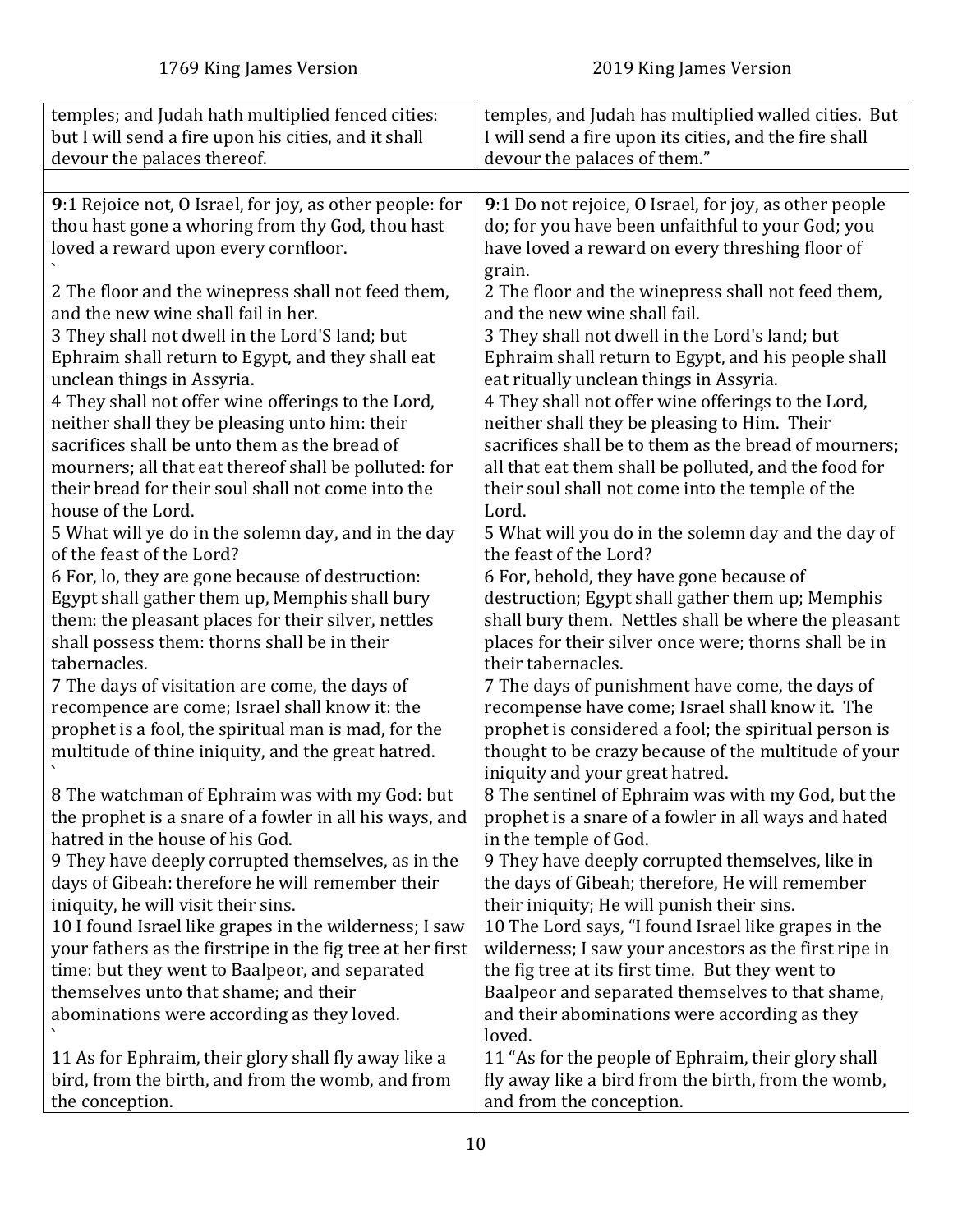<span id="page-9-0"></span>

| temples; and Judah hath multiplied fenced cities:                                                                                                                                                              | temples, and Judah has multiplied walled cities. But                                                                                                                                                                                                   |
|----------------------------------------------------------------------------------------------------------------------------------------------------------------------------------------------------------------|--------------------------------------------------------------------------------------------------------------------------------------------------------------------------------------------------------------------------------------------------------|
| but I will send a fire upon his cities, and it shall                                                                                                                                                           | I will send a fire upon its cities, and the fire shall                                                                                                                                                                                                 |
| devour the palaces thereof.                                                                                                                                                                                    | devour the palaces of them."                                                                                                                                                                                                                           |
|                                                                                                                                                                                                                |                                                                                                                                                                                                                                                        |
| 9:1 Rejoice not, O Israel, for joy, as other people: for<br>thou hast gone a whoring from thy God, thou hast<br>loved a reward upon every cornfloor.                                                           | 9:1 Do not rejoice, O Israel, for joy, as other people<br>do; for you have been unfaithful to your God; you<br>have loved a reward on every threshing floor of<br>grain.                                                                               |
| 2 The floor and the winepress shall not feed them,                                                                                                                                                             | 2 The floor and the winepress shall not feed them,                                                                                                                                                                                                     |
| and the new wine shall fail in her.                                                                                                                                                                            | and the new wine shall fail.                                                                                                                                                                                                                           |
| 3 They shall not dwell in the Lord'S land; but                                                                                                                                                                 | 3 They shall not dwell in the Lord's land; but                                                                                                                                                                                                         |
| Ephraim shall return to Egypt, and they shall eat                                                                                                                                                              | Ephraim shall return to Egypt, and his people shall                                                                                                                                                                                                    |
| unclean things in Assyria.                                                                                                                                                                                     | eat ritually unclean things in Assyria.                                                                                                                                                                                                                |
| 4 They shall not offer wine offerings to the Lord,                                                                                                                                                             | 4 They shall not offer wine offerings to the Lord,                                                                                                                                                                                                     |
| neither shall they be pleasing unto him: their                                                                                                                                                                 | neither shall they be pleasing to Him. Their                                                                                                                                                                                                           |
| sacrifices shall be unto them as the bread of                                                                                                                                                                  | sacrifices shall be to them as the bread of mourners;                                                                                                                                                                                                  |
| mourners; all that eat thereof shall be polluted: for                                                                                                                                                          | all that eat them shall be polluted, and the food for                                                                                                                                                                                                  |
| their bread for their soul shall not come into the                                                                                                                                                             | their soul shall not come into the temple of the                                                                                                                                                                                                       |
| house of the Lord.                                                                                                                                                                                             | Lord.                                                                                                                                                                                                                                                  |
| 5 What will ye do in the solemn day, and in the day                                                                                                                                                            | 5 What will you do in the solemn day and the day of                                                                                                                                                                                                    |
| of the feast of the Lord?                                                                                                                                                                                      | the feast of the Lord?                                                                                                                                                                                                                                 |
| 6 For, lo, they are gone because of destruction:                                                                                                                                                               | 6 For, behold, they have gone because of                                                                                                                                                                                                               |
| Egypt shall gather them up, Memphis shall bury                                                                                                                                                                 | destruction; Egypt shall gather them up; Memphis                                                                                                                                                                                                       |
| them: the pleasant places for their silver, nettles                                                                                                                                                            | shall bury them. Nettles shall be where the pleasant                                                                                                                                                                                                   |
| shall possess them: thorns shall be in their                                                                                                                                                                   | places for their silver once were; thorns shall be in                                                                                                                                                                                                  |
| tabernacles.                                                                                                                                                                                                   | their tabernacles.                                                                                                                                                                                                                                     |
| 7 The days of visitation are come, the days of<br>recompence are come; Israel shall know it: the<br>prophet is a fool, the spiritual man is mad, for the<br>multitude of thine iniquity, and the great hatred. | 7 The days of punishment have come, the days of<br>recompense have come; Israel shall know it. The<br>prophet is considered a fool; the spiritual person is<br>thought to be crazy because of the multitude of your<br>iniquity and your great hatred. |
| 8 The watchman of Ephraim was with my God: but                                                                                                                                                                 | 8 The sentinel of Ephraim was with my God, but the                                                                                                                                                                                                     |
| the prophet is a snare of a fowler in all his ways, and                                                                                                                                                        | prophet is a snare of a fowler in all ways and hated                                                                                                                                                                                                   |
| hatred in the house of his God.                                                                                                                                                                                | in the temple of God.                                                                                                                                                                                                                                  |
| 9 They have deeply corrupted themselves, as in the                                                                                                                                                             | 9 They have deeply corrupted themselves, like in                                                                                                                                                                                                       |
| days of Gibeah: therefore he will remember their                                                                                                                                                               | the days of Gibeah; therefore, He will remember                                                                                                                                                                                                        |
| iniquity, he will visit their sins.                                                                                                                                                                            | their iniquity; He will punish their sins.                                                                                                                                                                                                             |
| 10 I found Israel like grapes in the wilderness; I saw                                                                                                                                                         | 10 The Lord says, "I found Israel like grapes in the                                                                                                                                                                                                   |
| your fathers as the firstripe in the fig tree at her first                                                                                                                                                     | wilderness; I saw your ancestors as the first ripe in                                                                                                                                                                                                  |
| time: but they went to Baalpeor, and separated                                                                                                                                                                 | the fig tree at its first time. But they went to                                                                                                                                                                                                       |
| themselves unto that shame; and their<br>abominations were according as they loved.                                                                                                                            | Baalpeor and separated themselves to that shame,<br>and their abominations were according as they<br>loved.                                                                                                                                            |
| 11 As for Ephraim, their glory shall fly away like a                                                                                                                                                           | 11 "As for the people of Ephraim, their glory shall                                                                                                                                                                                                    |
| bird, from the birth, and from the womb, and from                                                                                                                                                              | fly away like a bird from the birth, from the womb,                                                                                                                                                                                                    |
| the conception.                                                                                                                                                                                                | and from the conception.                                                                                                                                                                                                                               |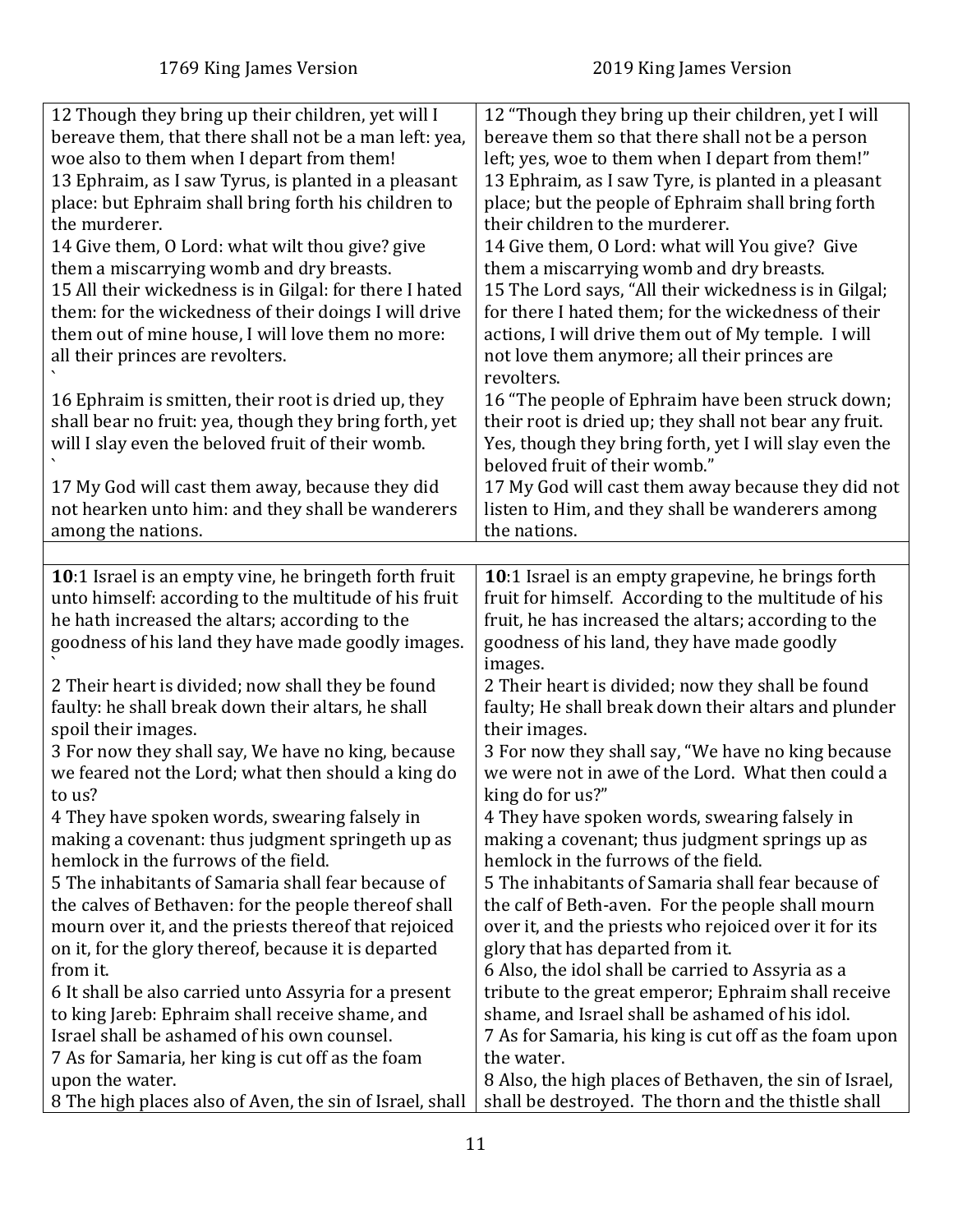<span id="page-10-0"></span>

| 12 Though they bring up their children, yet will I      | 12 "Though they bring up their children, yet I will     |
|---------------------------------------------------------|---------------------------------------------------------|
| bereave them, that there shall not be a man left: yea,  | bereave them so that there shall not be a person        |
| woe also to them when I depart from them!               | left; yes, woe to them when I depart from them!"        |
| 13 Ephraim, as I saw Tyrus, is planted in a pleasant    | 13 Ephraim, as I saw Tyre, is planted in a pleasant     |
| place: but Ephraim shall bring forth his children to    | place; but the people of Ephraim shall bring forth      |
| the murderer.                                           | their children to the murderer.                         |
| 14 Give them, O Lord: what wilt thou give? give         | 14 Give them, O Lord: what will You give? Give          |
| them a miscarrying womb and dry breasts.                | them a miscarrying womb and dry breasts.                |
| 15 All their wickedness is in Gilgal: for there I hated | 15 The Lord says, "All their wickedness is in Gilgal;   |
| them: for the wickedness of their doings I will drive   | for there I hated them; for the wickedness of their     |
| them out of mine house, I will love them no more:       | actions, I will drive them out of My temple. I will     |
| all their princes are revolters.                        | not love them anymore; all their princes are            |
|                                                         | revolters.                                              |
| 16 Ephraim is smitten, their root is dried up, they     | 16 "The people of Ephraim have been struck down;        |
| shall bear no fruit: yea, though they bring forth, yet  | their root is dried up; they shall not bear any fruit.  |
| will I slay even the beloved fruit of their womb.       | Yes, though they bring forth, yet I will slay even the  |
|                                                         | beloved fruit of their womb."                           |
| 17 My God will cast them away, because they did         | 17 My God will cast them away because they did not      |
| not hearken unto him: and they shall be wanderers       | listen to Him, and they shall be wanderers among        |
| among the nations.                                      | the nations.                                            |
|                                                         |                                                         |
| 10:1 Israel is an empty vine, he bringeth forth fruit   | 10:1 Israel is an empty grapevine, he brings forth      |
| unto himself: according to the multitude of his fruit   | fruit for himself. According to the multitude of his    |
| he hath increased the altars; according to the          | fruit, he has increased the altars; according to the    |
| goodness of his land they have made goodly images.      | goodness of his land, they have made goodly             |
|                                                         | images.                                                 |
| 2 Their heart is divided; now shall they be found       | 2 Their heart is divided; now they shall be found       |
| faulty: he shall break down their altars, he shall      | faulty; He shall break down their altars and plunder    |
| spoil their images.                                     | their images.                                           |
| 3 For now they shall say, We have no king, because      | 3 For now they shall say, "We have no king because      |
| we feared not the Lord; what then should a king do      | we were not in awe of the Lord. What then could a       |
| tan 115                                                 | king do for us?"                                        |
| 4 They have spoken words, swearing falsely in           | 4 They have spoken words, swearing falsely in           |
| making a covenant: thus judgment springeth up as        | making a covenant; thus judgment springs up as          |
| hemlock in the furrows of the field.                    | hemlock in the furrows of the field.                    |
| 5 The inhabitants of Samaria shall fear because of      | 5 The inhabitants of Samaria shall fear because of      |
| the calves of Bethaven: for the people thereof shall    | the calf of Beth-aven. For the people shall mourn       |
| mourn over it, and the priests thereof that rejoiced    | over it, and the priests who rejoiced over it for its   |
| on it, for the glory thereof, because it is departed    | glory that has departed from it.                        |
| from it.                                                | 6 Also, the idol shall be carried to Assyria as a       |
| 6 It shall be also carried unto Assyria for a present   | tribute to the great emperor; Ephraim shall receive     |
| to king Jareb: Ephraim shall receive shame, and         | shame, and Israel shall be ashamed of his idol.         |
| Israel shall be ashamed of his own counsel.             | 7 As for Samaria, his king is cut off as the foam upon  |
| 7 As for Samaria, her king is cut off as the foam       | the water.                                              |
| upon the water.                                         |                                                         |
|                                                         | 8 Also, the high places of Bethaven, the sin of Israel, |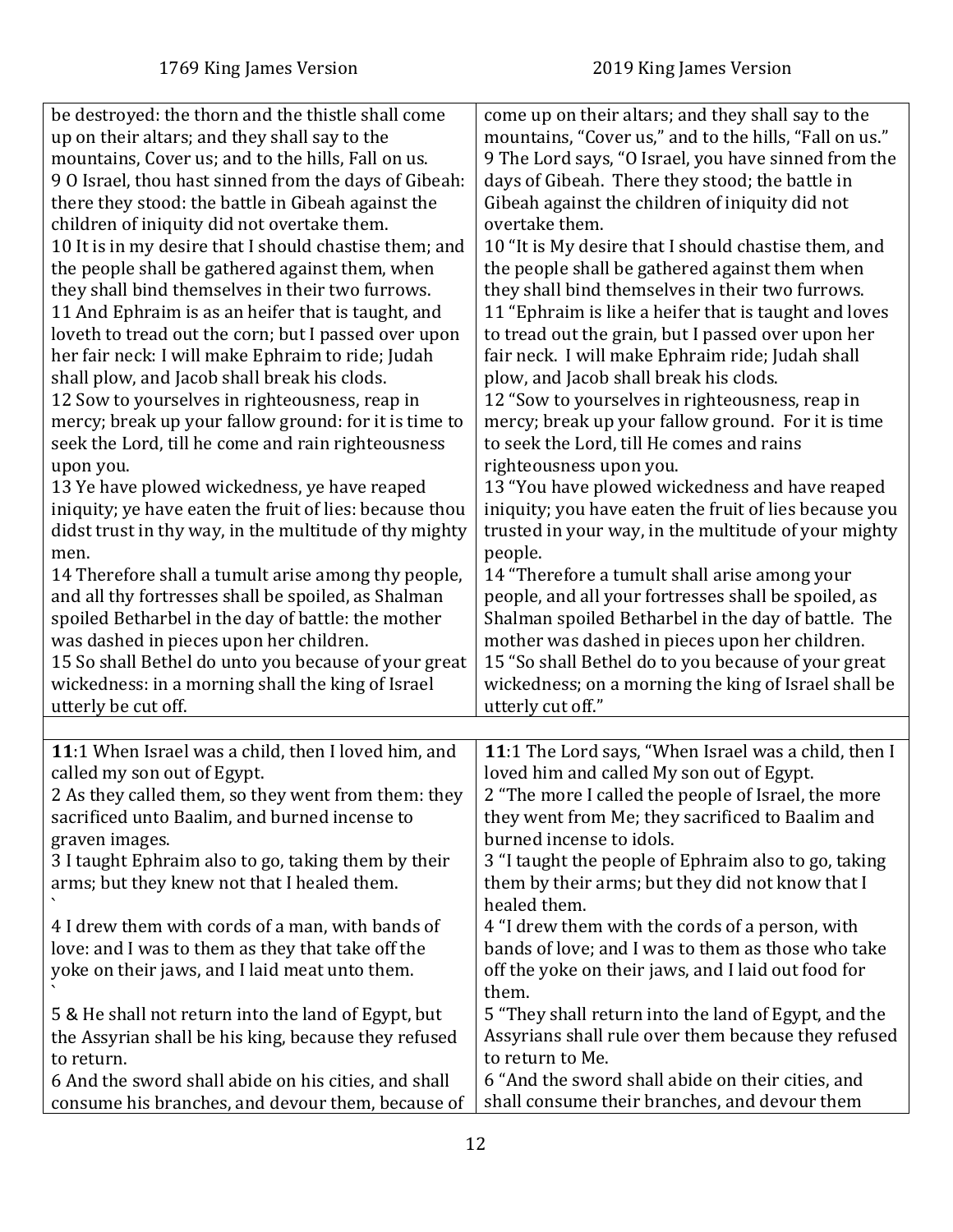<span id="page-11-0"></span>

| be destroyed: the thorn and the thistle shall come<br>up on their altars; and they shall say to the<br>mountains, Cover us; and to the hills, Fall on us.<br>9 O Israel, thou hast sinned from the days of Gibeah:<br>there they stood: the battle in Gibeah against the<br>children of iniquity did not overtake them.<br>10 It is in my desire that I should chastise them; and<br>the people shall be gathered against them, when<br>they shall bind themselves in their two furrows.<br>11 And Ephraim is as an heifer that is taught, and<br>loveth to tread out the corn; but I passed over upon<br>her fair neck: I will make Ephraim to ride; Judah<br>shall plow, and Jacob shall break his clods.<br>12 Sow to yourselves in righteousness, reap in<br>mercy; break up your fallow ground: for it is time to<br>seek the Lord, till he come and rain righteousness<br>upon you.<br>13 Ye have plowed wickedness, ye have reaped<br>iniquity; ye have eaten the fruit of lies: because thou<br>didst trust in thy way, in the multitude of thy mighty<br>men.<br>14 Therefore shall a tumult arise among thy people,<br>and all thy fortresses shall be spoiled, as Shalman<br>spoiled Betharbel in the day of battle: the mother<br>was dashed in pieces upon her children.<br>15 So shall Bethel do unto you because of your great<br>wickedness: in a morning shall the king of Israel<br>utterly be cut off. | come up on their altars; and they shall say to the<br>mountains, "Cover us," and to the hills, "Fall on us."<br>9 The Lord says, "O Israel, you have sinned from the<br>days of Gibeah. There they stood; the battle in<br>Gibeah against the children of iniquity did not<br>overtake them.<br>10 "It is My desire that I should chastise them, and<br>the people shall be gathered against them when<br>they shall bind themselves in their two furrows.<br>11 "Ephraim is like a heifer that is taught and loves<br>to tread out the grain, but I passed over upon her<br>fair neck. I will make Ephraim ride; Judah shall<br>plow, and Jacob shall break his clods.<br>12 "Sow to yourselves in righteousness, reap in<br>mercy; break up your fallow ground. For it is time<br>to seek the Lord, till He comes and rains<br>righteousness upon you.<br>13 "You have plowed wickedness and have reaped<br>iniquity; you have eaten the fruit of lies because you<br>trusted in your way, in the multitude of your mighty<br>people.<br>14 "Therefore a tumult shall arise among your<br>people, and all your fortresses shall be spoiled, as<br>Shalman spoiled Betharbel in the day of battle. The<br>mother was dashed in pieces upon her children.<br>15 "So shall Bethel do to you because of your great<br>wickedness; on a morning the king of Israel shall be<br>utterly cut off." |
|---------------------------------------------------------------------------------------------------------------------------------------------------------------------------------------------------------------------------------------------------------------------------------------------------------------------------------------------------------------------------------------------------------------------------------------------------------------------------------------------------------------------------------------------------------------------------------------------------------------------------------------------------------------------------------------------------------------------------------------------------------------------------------------------------------------------------------------------------------------------------------------------------------------------------------------------------------------------------------------------------------------------------------------------------------------------------------------------------------------------------------------------------------------------------------------------------------------------------------------------------------------------------------------------------------------------------------------------------------------------------------------------------------------------------|-----------------------------------------------------------------------------------------------------------------------------------------------------------------------------------------------------------------------------------------------------------------------------------------------------------------------------------------------------------------------------------------------------------------------------------------------------------------------------------------------------------------------------------------------------------------------------------------------------------------------------------------------------------------------------------------------------------------------------------------------------------------------------------------------------------------------------------------------------------------------------------------------------------------------------------------------------------------------------------------------------------------------------------------------------------------------------------------------------------------------------------------------------------------------------------------------------------------------------------------------------------------------------------------------------------------------------------------------------------------------------------------------|
|                                                                                                                                                                                                                                                                                                                                                                                                                                                                                                                                                                                                                                                                                                                                                                                                                                                                                                                                                                                                                                                                                                                                                                                                                                                                                                                                                                                                                           |                                                                                                                                                                                                                                                                                                                                                                                                                                                                                                                                                                                                                                                                                                                                                                                                                                                                                                                                                                                                                                                                                                                                                                                                                                                                                                                                                                                               |
| 11:1 When Israel was a child, then I loved him, and<br>called my son out of Egypt.<br>2 As they called them, so they went from them: they<br>sacrificed unto Baalim, and burned incense to<br>graven images.<br>3 I taught Ephraim also to go, taking them by their<br>arms; but they knew not that I healed them.<br>4 I drew them with cords of a man, with bands of                                                                                                                                                                                                                                                                                                                                                                                                                                                                                                                                                                                                                                                                                                                                                                                                                                                                                                                                                                                                                                                    | 11:1 The Lord says, "When Israel was a child, then I<br>loved him and called My son out of Egypt.<br>2 "The more I called the people of Israel, the more<br>they went from Me; they sacrificed to Baalim and<br>burned incense to idols.<br>3 "I taught the people of Ephraim also to go, taking<br>them by their arms; but they did not know that I<br>healed them.<br>4 "I drew them with the cords of a person, with                                                                                                                                                                                                                                                                                                                                                                                                                                                                                                                                                                                                                                                                                                                                                                                                                                                                                                                                                                       |
| love: and I was to them as they that take off the<br>yoke on their jaws, and I laid meat unto them.                                                                                                                                                                                                                                                                                                                                                                                                                                                                                                                                                                                                                                                                                                                                                                                                                                                                                                                                                                                                                                                                                                                                                                                                                                                                                                                       | bands of love; and I was to them as those who take<br>off the yoke on their jaws, and I laid out food for<br>them.                                                                                                                                                                                                                                                                                                                                                                                                                                                                                                                                                                                                                                                                                                                                                                                                                                                                                                                                                                                                                                                                                                                                                                                                                                                                            |
| 5 & He shall not return into the land of Egypt, but<br>the Assyrian shall be his king, because they refused<br>to return.<br>6 And the sword shall abide on his cities, and shall                                                                                                                                                                                                                                                                                                                                                                                                                                                                                                                                                                                                                                                                                                                                                                                                                                                                                                                                                                                                                                                                                                                                                                                                                                         | 5 "They shall return into the land of Egypt, and the<br>Assyrians shall rule over them because they refused<br>to return to Me.<br>6 "And the sword shall abide on their cities, and                                                                                                                                                                                                                                                                                                                                                                                                                                                                                                                                                                                                                                                                                                                                                                                                                                                                                                                                                                                                                                                                                                                                                                                                          |
| consume his branches, and devour them, because of                                                                                                                                                                                                                                                                                                                                                                                                                                                                                                                                                                                                                                                                                                                                                                                                                                                                                                                                                                                                                                                                                                                                                                                                                                                                                                                                                                         | shall consume their branches, and devour them                                                                                                                                                                                                                                                                                                                                                                                                                                                                                                                                                                                                                                                                                                                                                                                                                                                                                                                                                                                                                                                                                                                                                                                                                                                                                                                                                 |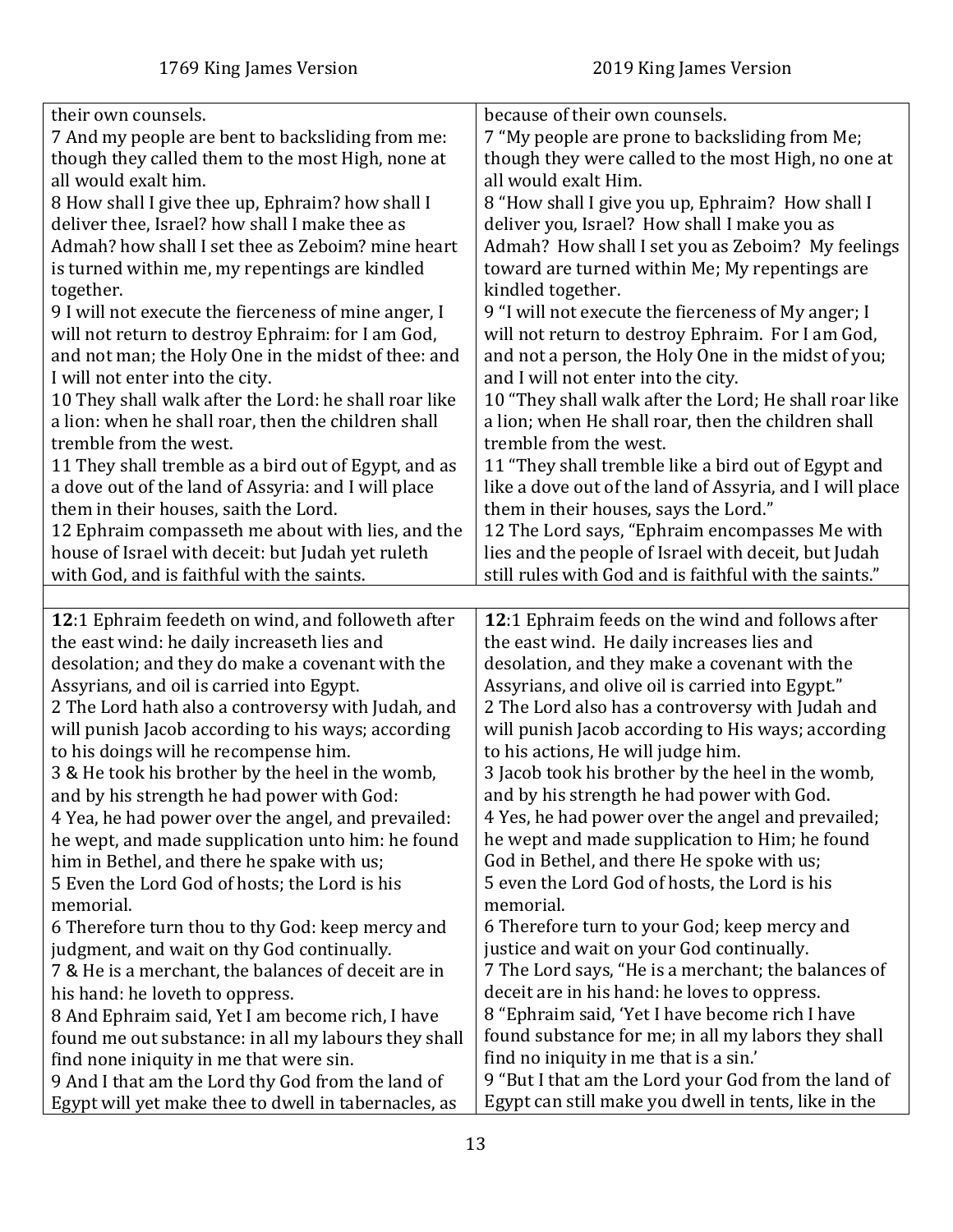<span id="page-12-0"></span>

| their own counsels.<br>7 And my people are bent to backsliding from me:<br>though they called them to the most High, none at<br>all would exalt him.<br>8 How shall I give thee up, Ephraim? how shall I<br>deliver thee, Israel? how shall I make thee as<br>Admah? how shall I set thee as Zeboim? mine heart<br>is turned within me, my repentings are kindled<br>together.<br>9 I will not execute the fierceness of mine anger, I<br>will not return to destroy Ephraim: for I am God,<br>and not man; the Holy One in the midst of thee: and<br>I will not enter into the city.<br>10 They shall walk after the Lord: he shall roar like<br>a lion: when he shall roar, then the children shall<br>tremble from the west.<br>11 They shall tremble as a bird out of Egypt, and as<br>a dove out of the land of Assyria: and I will place<br>them in their houses, saith the Lord. | because of their own counsels.<br>7 "My people are prone to backsliding from Me;<br>though they were called to the most High, no one at<br>all would exalt Him.<br>8 "How shall I give you up, Ephraim? How shall I<br>deliver you, Israel? How shall I make you as<br>Admah? How shall I set you as Zeboim? My feelings<br>toward are turned within Me; My repentings are<br>kindled together.<br>9 "I will not execute the fierceness of My anger; I<br>will not return to destroy Ephraim. For I am God,<br>and not a person, the Holy One in the midst of you;<br>and I will not enter into the city.<br>10 "They shall walk after the Lord; He shall roar like<br>a lion; when He shall roar, then the children shall<br>tremble from the west.<br>11 "They shall tremble like a bird out of Egypt and<br>like a dove out of the land of Assyria, and I will place |
|-----------------------------------------------------------------------------------------------------------------------------------------------------------------------------------------------------------------------------------------------------------------------------------------------------------------------------------------------------------------------------------------------------------------------------------------------------------------------------------------------------------------------------------------------------------------------------------------------------------------------------------------------------------------------------------------------------------------------------------------------------------------------------------------------------------------------------------------------------------------------------------------|-------------------------------------------------------------------------------------------------------------------------------------------------------------------------------------------------------------------------------------------------------------------------------------------------------------------------------------------------------------------------------------------------------------------------------------------------------------------------------------------------------------------------------------------------------------------------------------------------------------------------------------------------------------------------------------------------------------------------------------------------------------------------------------------------------------------------------------------------------------------------|
|                                                                                                                                                                                                                                                                                                                                                                                                                                                                                                                                                                                                                                                                                                                                                                                                                                                                                         | them in their houses, says the Lord."                                                                                                                                                                                                                                                                                                                                                                                                                                                                                                                                                                                                                                                                                                                                                                                                                                   |
| 12 Ephraim compasseth me about with lies, and the<br>house of Israel with deceit: but Judah yet ruleth                                                                                                                                                                                                                                                                                                                                                                                                                                                                                                                                                                                                                                                                                                                                                                                  | 12 The Lord says, "Ephraim encompasses Me with<br>lies and the people of Israel with deceit, but Judah                                                                                                                                                                                                                                                                                                                                                                                                                                                                                                                                                                                                                                                                                                                                                                  |
| with God, and is faithful with the saints.                                                                                                                                                                                                                                                                                                                                                                                                                                                                                                                                                                                                                                                                                                                                                                                                                                              | still rules with God and is faithful with the saints."                                                                                                                                                                                                                                                                                                                                                                                                                                                                                                                                                                                                                                                                                                                                                                                                                  |
|                                                                                                                                                                                                                                                                                                                                                                                                                                                                                                                                                                                                                                                                                                                                                                                                                                                                                         |                                                                                                                                                                                                                                                                                                                                                                                                                                                                                                                                                                                                                                                                                                                                                                                                                                                                         |
| 12:1 Ephraim feedeth on wind, and followeth after<br>the east wind: he daily increaseth lies and<br>desolation; and they do make a covenant with the<br>Assyrians, and oil is carried into Egypt.<br>2 The Lord hath also a controversy with Judah, and<br>will punish Jacob according to his ways; according<br>to his doings will he recompense him.<br>3 & He took his brother by the heel in the womb,<br>and by his strength he had power with God:<br>4 Yea, he had power over the angel, and prevailed:<br>he wept, and made supplication unto him: he found<br>him in Bethel, and there he spake with us;<br>5 Even the Lord God of hosts; the Lord is his<br>memorial.<br>6 Therefore turn thou to thy God: keep mercy and<br>judgment, and wait on thy God continually.                                                                                                       | 12:1 Ephraim feeds on the wind and follows after<br>the east wind. He daily increases lies and<br>desolation, and they make a covenant with the<br>Assyrians, and olive oil is carried into Egypt."<br>2 The Lord also has a controversy with Judah and<br>will punish Jacob according to His ways; according<br>to his actions, He will judge him.<br>3 Jacob took his brother by the heel in the womb,<br>and by his strength he had power with God.<br>4 Yes, he had power over the angel and prevailed;<br>he wept and made supplication to Him; he found<br>God in Bethel, and there He spoke with us;<br>5 even the Lord God of hosts, the Lord is his<br>memorial.<br>6 Therefore turn to your God; keep mercy and<br>justice and wait on your God continually.                                                                                                  |
| 7 & He is a merchant, the balances of deceit are in<br>his hand: he loveth to oppress.<br>8 And Ephraim said, Yet I am become rich, I have<br>found me out substance: in all my labours they shall<br>find none iniquity in me that were sin.<br>9 And I that am the Lord thy God from the land of<br>Egypt will yet make thee to dwell in tabernacles, as                                                                                                                                                                                                                                                                                                                                                                                                                                                                                                                              | 7 The Lord says, "He is a merchant; the balances of<br>deceit are in his hand: he loves to oppress.<br>8 "Ephraim said, 'Yet I have become rich I have<br>found substance for me; in all my labors they shall<br>find no iniquity in me that is a sin.'<br>9 "But I that am the Lord your God from the land of<br>Egypt can still make you dwell in tents, like in the                                                                                                                                                                                                                                                                                                                                                                                                                                                                                                  |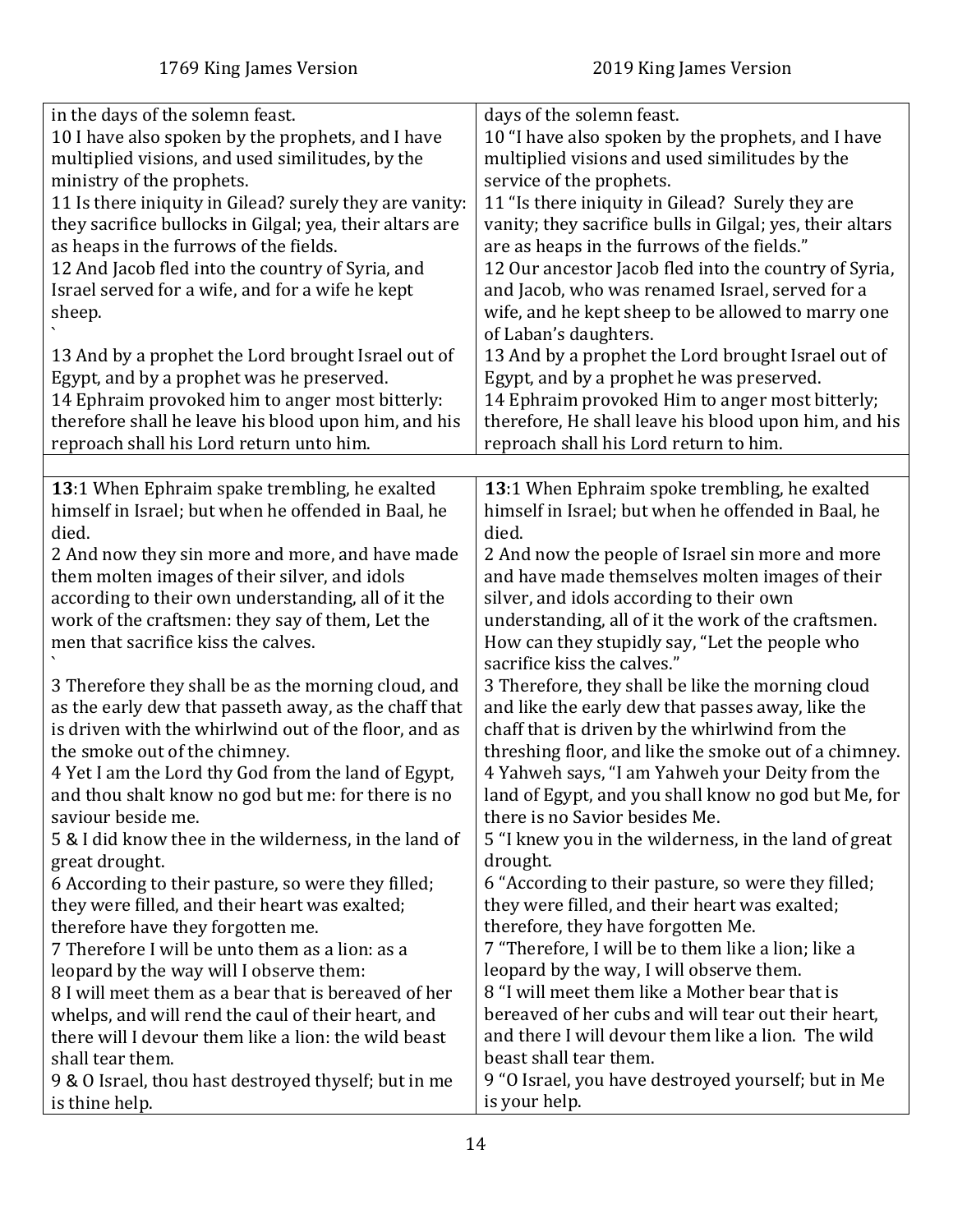<span id="page-13-0"></span>

| in the days of the solemn feast.                                                                                                                                                                                                                                                                                                                                                                                                                                                                                                                                                                                                                                                                                                                                                                                                                                                                                                                                                                                                       | days of the solemn feast.                                                                                                                                                                                                                                                                                                                                                                                                                                                                                                                                                                                                                                                                                                                                                                                                                                                                                                                                                                                                                                                                         |
|----------------------------------------------------------------------------------------------------------------------------------------------------------------------------------------------------------------------------------------------------------------------------------------------------------------------------------------------------------------------------------------------------------------------------------------------------------------------------------------------------------------------------------------------------------------------------------------------------------------------------------------------------------------------------------------------------------------------------------------------------------------------------------------------------------------------------------------------------------------------------------------------------------------------------------------------------------------------------------------------------------------------------------------|---------------------------------------------------------------------------------------------------------------------------------------------------------------------------------------------------------------------------------------------------------------------------------------------------------------------------------------------------------------------------------------------------------------------------------------------------------------------------------------------------------------------------------------------------------------------------------------------------------------------------------------------------------------------------------------------------------------------------------------------------------------------------------------------------------------------------------------------------------------------------------------------------------------------------------------------------------------------------------------------------------------------------------------------------------------------------------------------------|
| 10 I have also spoken by the prophets, and I have                                                                                                                                                                                                                                                                                                                                                                                                                                                                                                                                                                                                                                                                                                                                                                                                                                                                                                                                                                                      | 10 "I have also spoken by the prophets, and I have                                                                                                                                                                                                                                                                                                                                                                                                                                                                                                                                                                                                                                                                                                                                                                                                                                                                                                                                                                                                                                                |
| multiplied visions, and used similitudes, by the                                                                                                                                                                                                                                                                                                                                                                                                                                                                                                                                                                                                                                                                                                                                                                                                                                                                                                                                                                                       | multiplied visions and used similitudes by the                                                                                                                                                                                                                                                                                                                                                                                                                                                                                                                                                                                                                                                                                                                                                                                                                                                                                                                                                                                                                                                    |
| ministry of the prophets.                                                                                                                                                                                                                                                                                                                                                                                                                                                                                                                                                                                                                                                                                                                                                                                                                                                                                                                                                                                                              | service of the prophets.                                                                                                                                                                                                                                                                                                                                                                                                                                                                                                                                                                                                                                                                                                                                                                                                                                                                                                                                                                                                                                                                          |
| 11 Is there iniquity in Gilead? surely they are vanity:                                                                                                                                                                                                                                                                                                                                                                                                                                                                                                                                                                                                                                                                                                                                                                                                                                                                                                                                                                                | 11 "Is there iniquity in Gilead? Surely they are                                                                                                                                                                                                                                                                                                                                                                                                                                                                                                                                                                                                                                                                                                                                                                                                                                                                                                                                                                                                                                                  |
| they sacrifice bullocks in Gilgal; yea, their altars are                                                                                                                                                                                                                                                                                                                                                                                                                                                                                                                                                                                                                                                                                                                                                                                                                                                                                                                                                                               | vanity; they sacrifice bulls in Gilgal; yes, their altars                                                                                                                                                                                                                                                                                                                                                                                                                                                                                                                                                                                                                                                                                                                                                                                                                                                                                                                                                                                                                                         |
| as heaps in the furrows of the fields.                                                                                                                                                                                                                                                                                                                                                                                                                                                                                                                                                                                                                                                                                                                                                                                                                                                                                                                                                                                                 | are as heaps in the furrows of the fields."                                                                                                                                                                                                                                                                                                                                                                                                                                                                                                                                                                                                                                                                                                                                                                                                                                                                                                                                                                                                                                                       |
| 12 And Jacob fled into the country of Syria, and                                                                                                                                                                                                                                                                                                                                                                                                                                                                                                                                                                                                                                                                                                                                                                                                                                                                                                                                                                                       | 12 Our ancestor Jacob fled into the country of Syria,                                                                                                                                                                                                                                                                                                                                                                                                                                                                                                                                                                                                                                                                                                                                                                                                                                                                                                                                                                                                                                             |
| Israel served for a wife, and for a wife he kept                                                                                                                                                                                                                                                                                                                                                                                                                                                                                                                                                                                                                                                                                                                                                                                                                                                                                                                                                                                       | and Jacob, who was renamed Israel, served for a                                                                                                                                                                                                                                                                                                                                                                                                                                                                                                                                                                                                                                                                                                                                                                                                                                                                                                                                                                                                                                                   |
| sheep.<br>13 And by a prophet the Lord brought Israel out of<br>Egypt, and by a prophet was he preserved.<br>14 Ephraim provoked him to anger most bitterly:<br>therefore shall he leave his blood upon him, and his<br>reproach shall his Lord return unto him.                                                                                                                                                                                                                                                                                                                                                                                                                                                                                                                                                                                                                                                                                                                                                                       | wife, and he kept sheep to be allowed to marry one<br>of Laban's daughters.<br>13 And by a prophet the Lord brought Israel out of<br>Egypt, and by a prophet he was preserved.<br>14 Ephraim provoked Him to anger most bitterly;<br>therefore, He shall leave his blood upon him, and his<br>reproach shall his Lord return to him.                                                                                                                                                                                                                                                                                                                                                                                                                                                                                                                                                                                                                                                                                                                                                              |
| 13:1 When Ephraim spake trembling, he exalted<br>himself in Israel; but when he offended in Baal, he<br>died.<br>2 And now they sin more and more, and have made<br>them molten images of their silver, and idols<br>according to their own understanding, all of it the<br>work of the craftsmen: they say of them, Let the<br>men that sacrifice kiss the calves.<br>3 Therefore they shall be as the morning cloud, and<br>as the early dew that passeth away, as the chaff that<br>is driven with the whirlwind out of the floor, and as<br>the smoke out of the chimney.<br>4 Yet I am the Lord thy God from the land of Egypt,<br>and thou shalt know no god but me: for there is no<br>saviour beside me.<br>5 & I did know thee in the wilderness, in the land of<br>great drought.<br>6 According to their pasture, so were they filled;<br>they were filled, and their heart was exalted;<br>therefore have they forgotten me.<br>7 Therefore I will be unto them as a lion: as a<br>leopard by the way will I observe them: | 13:1 When Ephraim spoke trembling, he exalted<br>himself in Israel; but when he offended in Baal, he<br>died.<br>2 And now the people of Israel sin more and more<br>and have made themselves molten images of their<br>silver, and idols according to their own<br>understanding, all of it the work of the craftsmen.<br>How can they stupidly say, "Let the people who<br>sacrifice kiss the calves."<br>3 Therefore, they shall be like the morning cloud<br>and like the early dew that passes away, like the<br>chaff that is driven by the whirlwind from the<br>threshing floor, and like the smoke out of a chimney.<br>4 Yahweh says, "I am Yahweh your Deity from the<br>land of Egypt, and you shall know no god but Me, for<br>there is no Savior besides Me.<br>5 "I knew you in the wilderness, in the land of great<br>drought.<br>6 "According to their pasture, so were they filled;<br>they were filled, and their heart was exalted;<br>therefore, they have forgotten Me.<br>7 "Therefore, I will be to them like a lion; like a<br>leopard by the way, I will observe them. |
| 8 I will meet them as a bear that is bereaved of her                                                                                                                                                                                                                                                                                                                                                                                                                                                                                                                                                                                                                                                                                                                                                                                                                                                                                                                                                                                   | 8 "I will meet them like a Mother bear that is                                                                                                                                                                                                                                                                                                                                                                                                                                                                                                                                                                                                                                                                                                                                                                                                                                                                                                                                                                                                                                                    |
| whelps, and will rend the caul of their heart, and                                                                                                                                                                                                                                                                                                                                                                                                                                                                                                                                                                                                                                                                                                                                                                                                                                                                                                                                                                                     | bereaved of her cubs and will tear out their heart,                                                                                                                                                                                                                                                                                                                                                                                                                                                                                                                                                                                                                                                                                                                                                                                                                                                                                                                                                                                                                                               |
| there will I devour them like a lion: the wild beast                                                                                                                                                                                                                                                                                                                                                                                                                                                                                                                                                                                                                                                                                                                                                                                                                                                                                                                                                                                   | and there I will devour them like a lion. The wild                                                                                                                                                                                                                                                                                                                                                                                                                                                                                                                                                                                                                                                                                                                                                                                                                                                                                                                                                                                                                                                |
| shall tear them.                                                                                                                                                                                                                                                                                                                                                                                                                                                                                                                                                                                                                                                                                                                                                                                                                                                                                                                                                                                                                       | beast shall tear them.                                                                                                                                                                                                                                                                                                                                                                                                                                                                                                                                                                                                                                                                                                                                                                                                                                                                                                                                                                                                                                                                            |
| 9 & O Israel, thou hast destroyed thyself; but in me                                                                                                                                                                                                                                                                                                                                                                                                                                                                                                                                                                                                                                                                                                                                                                                                                                                                                                                                                                                   | 9 "O Israel, you have destroyed yourself; but in Me                                                                                                                                                                                                                                                                                                                                                                                                                                                                                                                                                                                                                                                                                                                                                                                                                                                                                                                                                                                                                                               |
| is thine help.                                                                                                                                                                                                                                                                                                                                                                                                                                                                                                                                                                                                                                                                                                                                                                                                                                                                                                                                                                                                                         | is your help.                                                                                                                                                                                                                                                                                                                                                                                                                                                                                                                                                                                                                                                                                                                                                                                                                                                                                                                                                                                                                                                                                     |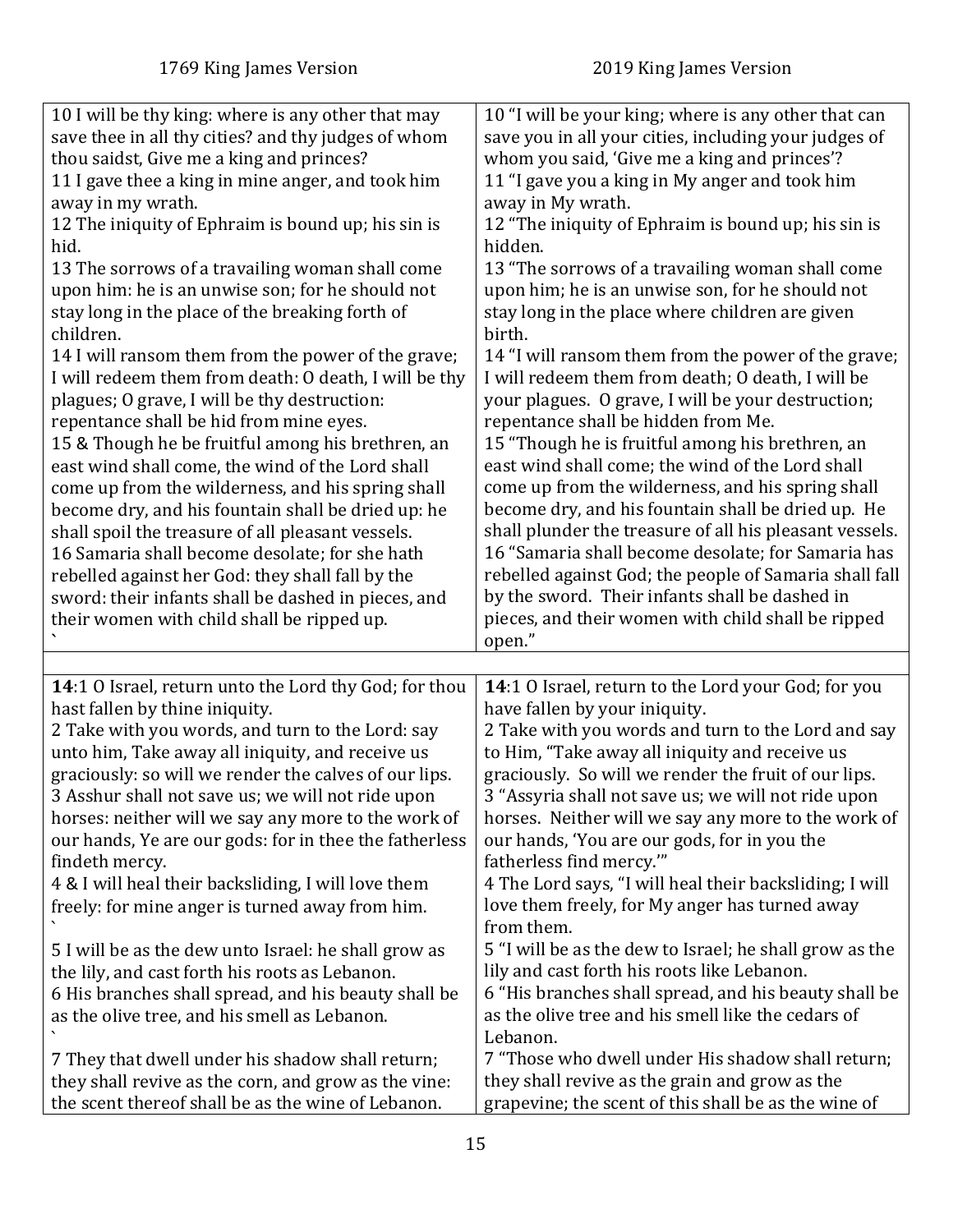<span id="page-14-0"></span>

| 10 I will be thy king: where is any other that may<br>save thee in all thy cities? and thy judges of whom<br>thou saidst, Give me a king and princes?<br>11 I gave thee a king in mine anger, and took him<br>away in my wrath.<br>12 The iniquity of Ephraim is bound up; his sin is<br>hid.<br>13 The sorrows of a travailing woman shall come<br>upon him: he is an unwise son; for he should not<br>stay long in the place of the breaking forth of<br>children.<br>14 I will ransom them from the power of the grave;<br>I will redeem them from death: O death, I will be thy<br>plagues; O grave, I will be thy destruction:<br>repentance shall be hid from mine eyes.<br>15 & Though he be fruitful among his brethren, an<br>east wind shall come, the wind of the Lord shall<br>come up from the wilderness, and his spring shall<br>become dry, and his fountain shall be dried up: he<br>shall spoil the treasure of all pleasant vessels.<br>16 Samaria shall become desolate; for she hath<br>rebelled against her God: they shall fall by the<br>sword: their infants shall be dashed in pieces, and<br>their women with child shall be ripped up. | 10 "I will be your king; where is any other that can<br>save you in all your cities, including your judges of<br>whom you said, 'Give me a king and princes'?<br>11 "I gave you a king in My anger and took him<br>away in My wrath.<br>12 "The iniquity of Ephraim is bound up; his sin is<br>hidden.<br>13 "The sorrows of a travailing woman shall come<br>upon him; he is an unwise son, for he should not<br>stay long in the place where children are given<br>birth.<br>14 "I will ransom them from the power of the grave;<br>I will redeem them from death; O death, I will be<br>your plagues. O grave, I will be your destruction;<br>repentance shall be hidden from Me.<br>15 "Though he is fruitful among his brethren, an<br>east wind shall come; the wind of the Lord shall<br>come up from the wilderness, and his spring shall<br>become dry, and his fountain shall be dried up. He<br>shall plunder the treasure of all his pleasant vessels.<br>16 "Samaria shall become desolate; for Samaria has<br>rebelled against God; the people of Samaria shall fall<br>by the sword. Their infants shall be dashed in<br>pieces, and their women with child shall be ripped<br>open." |
|--------------------------------------------------------------------------------------------------------------------------------------------------------------------------------------------------------------------------------------------------------------------------------------------------------------------------------------------------------------------------------------------------------------------------------------------------------------------------------------------------------------------------------------------------------------------------------------------------------------------------------------------------------------------------------------------------------------------------------------------------------------------------------------------------------------------------------------------------------------------------------------------------------------------------------------------------------------------------------------------------------------------------------------------------------------------------------------------------------------------------------------------------------------------|------------------------------------------------------------------------------------------------------------------------------------------------------------------------------------------------------------------------------------------------------------------------------------------------------------------------------------------------------------------------------------------------------------------------------------------------------------------------------------------------------------------------------------------------------------------------------------------------------------------------------------------------------------------------------------------------------------------------------------------------------------------------------------------------------------------------------------------------------------------------------------------------------------------------------------------------------------------------------------------------------------------------------------------------------------------------------------------------------------------------------------------------------------------------------------------------------|
|                                                                                                                                                                                                                                                                                                                                                                                                                                                                                                                                                                                                                                                                                                                                                                                                                                                                                                                                                                                                                                                                                                                                                                    |                                                                                                                                                                                                                                                                                                                                                                                                                                                                                                                                                                                                                                                                                                                                                                                                                                                                                                                                                                                                                                                                                                                                                                                                      |
| 14:1 O Israel, return unto the Lord thy God; for thou<br>hast fallen by thine iniquity.<br>2 Take with you words, and turn to the Lord: say<br>unto him, Take away all iniquity, and receive us<br>graciously: so will we render the calves of our lips.<br>3 Asshur shall not save us; we will not ride upon<br>horses: neither will we say any more to the work of<br>our hands, Ye are our gods: for in thee the fatherless<br>findeth mercy.<br>4 & I will heal their backsliding, I will love them<br>freely: for mine anger is turned away from him.<br>5 I will be as the dew unto Israel: he shall grow as<br>the lily, and cast forth his roots as Lebanon.<br>6 His branches shall spread, and his beauty shall be<br>as the olive tree, and his smell as Lebanon.<br>7 They that dwell under his shadow shall return;                                                                                                                                                                                                                                                                                                                                   | 14:1 O Israel, return to the Lord your God; for you<br>have fallen by your iniquity.<br>2 Take with you words and turn to the Lord and say<br>to Him, "Take away all iniquity and receive us<br>graciously. So will we render the fruit of our lips.<br>3 "Assyria shall not save us; we will not ride upon<br>horses. Neither will we say any more to the work of<br>our hands, 'You are our gods, for in you the<br>fatherless find mercy.""<br>4 The Lord says, "I will heal their backsliding; I will<br>love them freely, for My anger has turned away<br>from them.<br>5 "I will be as the dew to Israel; he shall grow as the<br>lily and cast forth his roots like Lebanon.<br>6 "His branches shall spread, and his beauty shall be<br>as the olive tree and his smell like the cedars of<br>Lebanon.<br>7 "Those who dwell under His shadow shall return;                                                                                                                                                                                                                                                                                                                                  |
| they shall revive as the corn, and grow as the vine:<br>the scent thereof shall be as the wine of Lebanon.                                                                                                                                                                                                                                                                                                                                                                                                                                                                                                                                                                                                                                                                                                                                                                                                                                                                                                                                                                                                                                                         | they shall revive as the grain and grow as the<br>grapevine; the scent of this shall be as the wine of                                                                                                                                                                                                                                                                                                                                                                                                                                                                                                                                                                                                                                                                                                                                                                                                                                                                                                                                                                                                                                                                                               |